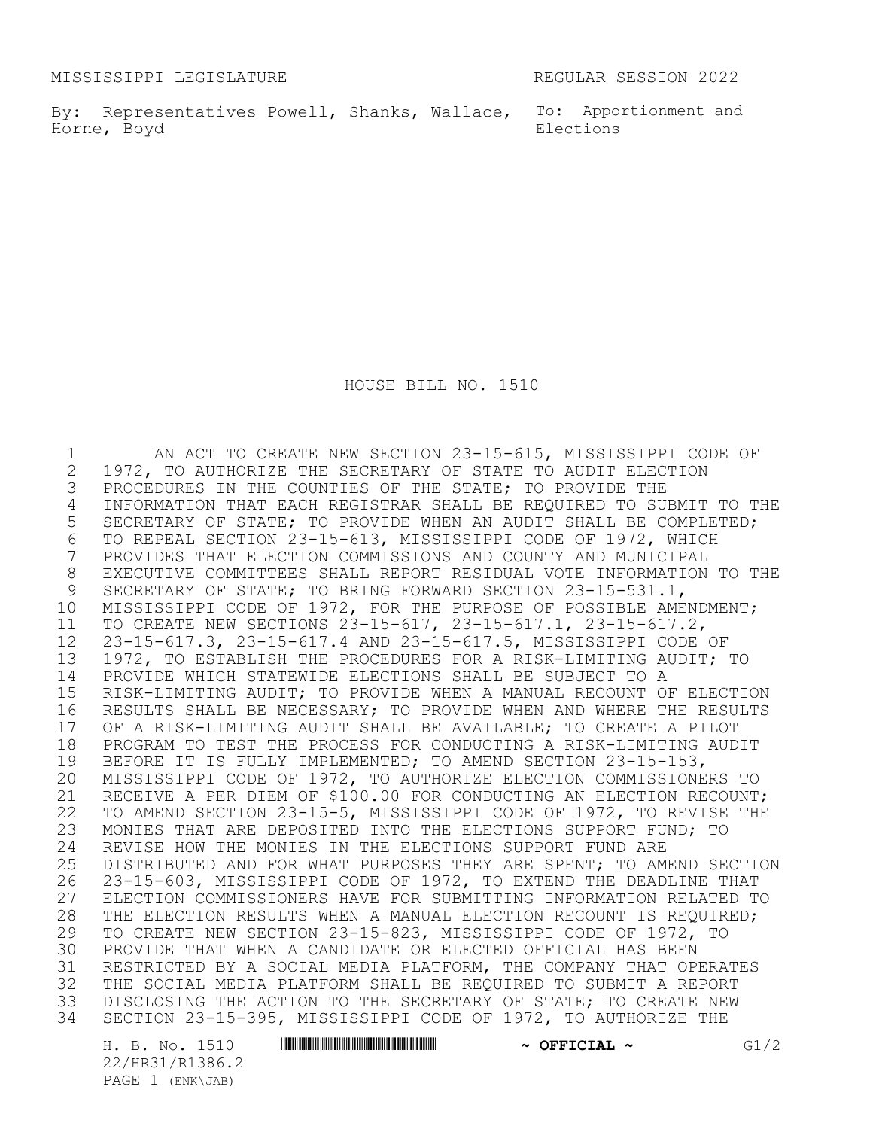MISSISSIPPI LEGISLATURE REGULAR SESSION 2022

By: Representatives Powell, Shanks, Wallace, To: Apportionment and Horne, Boyd

Elections

HOUSE BILL NO. 1510

1 AN ACT TO CREATE NEW SECTION 23-15-615, MISSISSIPPI CODE OF<br>2 1972, TO AUTHORIZE THE SECRETARY OF STATE TO AUDIT ELECTION 2 1972, TO AUTHORIZE THE SECRETARY OF STATE TO AUDIT ELECTION<br>3 PROCEDURES IN THE COUNTIES OF THE STATE; TO PROVIDE THE PROCEDURES IN THE COUNTIES OF THE STATE; TO PROVIDE THE INFORMATION THAT EACH REGISTRAR SHALL BE REQUIRED TO SUBMIT TO THE SECRETARY OF STATE; TO PROVIDE WHEN AN AUDIT SHALL BE COMPLETED; TO REPEAL SECTION 23-15-613, MISSISSIPPI CODE OF 1972, WHICH PROVIDES THAT ELECTION COMMISSIONS AND COUNTY AND MUNICIPAL 8 EXECUTIVE COMMITTEES SHALL REPORT RESIDUAL VOTE INFORMATION TO THE <br>9 SECRETARY OF STATE: TO BRING FORWARD SECTION 23-15-531.1. SECRETARY OF STATE; TO BRING FORWARD SECTION 23-15-531.1, MISSISSIPPI CODE OF 1972, FOR THE PURPOSE OF POSSIBLE AMENDMENT; TO CREATE NEW SECTIONS 23-15-617, 23-15-617.1, 23-15-617.2, 23-15-617.3, 23-15-617.4 AND 23-15-617.5, MISSISSIPPI CODE OF 1972, TO ESTABLISH THE PROCEDURES FOR A RISK-LIMITING AUDIT; TO PROVIDE WHICH STATEWIDE ELECTIONS SHALL BE SUBJECT TO A RISK-LIMITING AUDIT; TO PROVIDE WHEN A MANUAL RECOUNT OF ELECTION RESULTS SHALL BE NECESSARY; TO PROVIDE WHEN AND WHERE THE RESULTS 17 OF A RISK-LIMITING AUDIT SHALL BE AVAILABLE; TO CREATE A PILOT<br>18 PROGRAM TO TEST THE PROCESS FOR CONDUCTING A RISK-LIMITING AUD 18 PROGRAM TO TEST THE PROCESS FOR CONDUCTING A RISK-LIMITING AUDIT<br>19 BEFORE IT IS FULLY IMPLEMENTED: TO AMEND SECTION 23-15-153. 19 BEFORE IT IS FULLY IMPLEMENTED; TO AMEND SECTION 23-15-153,<br>20 MISSISSIPPI CODE OF 1972, TO AUTHORIZE ELECTION COMMISSIONE MISSISSIPPI CODE OF 1972, TO AUTHORIZE ELECTION COMMISSIONERS TO RECEIVE A PER DIEM OF \$100.00 FOR CONDUCTING AN ELECTION RECOUNT; TO AMEND SECTION 23-15-5, MISSISSIPPI CODE OF 1972, TO REVISE THE MONIES THAT ARE DEPOSITED INTO THE ELECTIONS SUPPORT FUND; TO 24 REVISE HOW THE MONIES IN THE ELECTIONS SUPPORT FUND ARE<br>25 DISTRIBUTED AND FOR WHAT PURPOSES THEY ARE SPENT; TO AM 25 DISTRIBUTED AND FOR WHAT PURPOSES THEY ARE SPENT; TO AMEND SECTION<br>26 23-15-603, MISSISSIPPI CODE OF 1972, TO EXTEND THE DEADLINE THAT 23-15-603, MISSISSIPPI CODE OF 1972, TO EXTEND THE DEADLINE THAT ELECTION COMMISSIONERS HAVE FOR SUBMITTING INFORMATION RELATED TO 28 THE ELECTION RESULTS WHEN A MANUAL ELECTION RECOUNT IS REQUIRED;<br>29 TO CREATE NEW SECTION 23-15-823, MISSISSIPPI CODE OF 1972, TO TO CREATE NEW SECTION 23-15-823, MISSISSIPPI CODE OF 1972, TO PROVIDE THAT WHEN A CANDIDATE OR ELECTED OFFICIAL HAS BEEN RESTRICTED BY A SOCIAL MEDIA PLATFORM, THE COMPANY THAT OPERATES THE SOCIAL MEDIA PLATFORM SHALL BE REQUIRED TO SUBMIT A REPORT DISCLOSING THE ACTION TO THE SECRETARY OF STATE; TO CREATE NEW SECTION 23-15-395, MISSISSIPPI CODE OF 1972, TO AUTHORIZE THE

22/HR31/R1386.2 PAGE 1 (ENK\JAB)

H. B. No. 1510 **. AND AN ARABIA PREPAREMENT ARABIAL PREPAREMENT ARABIAS AND AREA CHANGISTS**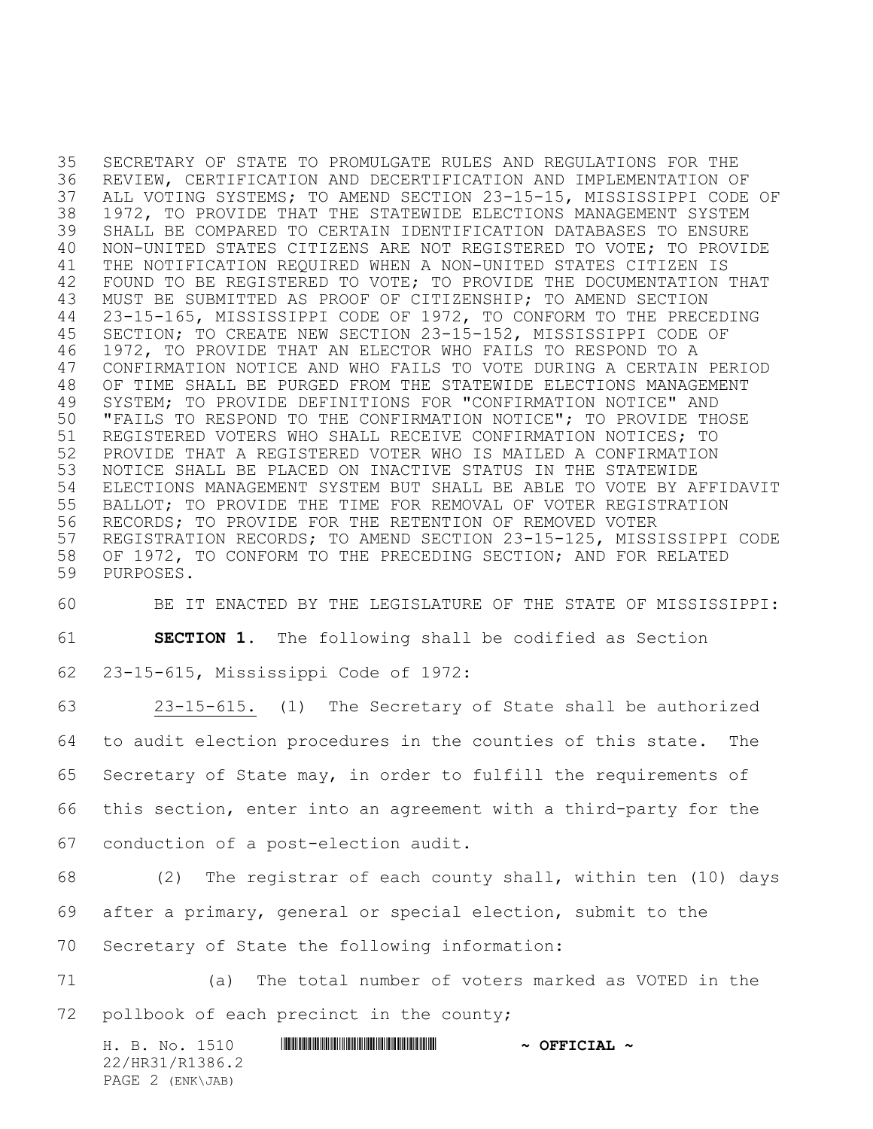SECRETARY OF STATE TO PROMULGATE RULES AND REGULATIONS FOR THE REVIEW, CERTIFICATION AND DECERTIFICATION AND IMPLEMENTATION OF ALL VOTING SYSTEMS; TO AMEND SECTION 23-15-15, MISSISSIPPI CODE OF 1972, TO PROVIDE THAT THE STATEWIDE ELECTIONS MANAGEMENT SYSTEM SHALL BE COMPARED TO CERTAIN IDENTIFICATION DATABASES TO ENSURE NON-UNITED STATES CITIZENS ARE NOT REGISTERED TO VOTE; TO PROVIDE THE NOTIFICATION REQUIRED WHEN A NON-UNITED STATES CITIZEN IS 42 FOUND TO BE REGISTERED TO VOTE; TO PROVIDE THE DOCUMENTATION THAT MUST BE SUBMITTED AS PROOF OF CITIZENSHIP; TO AMEND SECTION 23-15-165, MISSISSIPPI CODE OF 1972, TO CONFORM TO THE PRECEDING SECTION; TO CREATE NEW SECTION 23-15-152, MISSISSIPPI CODE OF 1972, TO PROVIDE THAT AN ELECTOR WHO FAILS TO RESPOND TO A CONFIRMATION NOTICE AND WHO FAILS TO VOTE DURING A CERTAIN PERIOD OF TIME SHALL BE PURGED FROM THE STATEWIDE ELECTIONS MANAGEMENT SYSTEM; TO PROVIDE DEFINITIONS FOR "CONFIRMATION NOTICE" AND "FAILS TO RESPOND TO THE CONFIRMATION NOTICE"; TO PROVIDE THOSE REGISTERED VOTERS WHO SHALL RECEIVE CONFIRMATION NOTICES; TO PROVIDE THAT A REGISTERED VOTER WHO IS MAILED A CONFIRMATION NOTICE SHALL BE PLACED ON INACTIVE STATUS IN THE STATEWIDE ELECTIONS MANAGEMENT SYSTEM BUT SHALL BE ABLE TO VOTE BY AFFIDAVIT BALLOT; TO PROVIDE THE TIME FOR REMOVAL OF VOTER REGISTRATION RECORDS; TO PROVIDE FOR THE RETENTION OF REMOVED VOTER REGISTRATION RECORDS; TO AMEND SECTION 23-15-125, MISSISSIPPI CODE OF 1972, TO CONFORM TO THE PRECEDING SECTION; AND FOR RELATED PURPOSES.

 BE IT ENACTED BY THE LEGISLATURE OF THE STATE OF MISSISSIPPI: **SECTION 1.** The following shall be codified as Section 23-15-615, Mississippi Code of 1972:

 23-15-615. (1) The Secretary of State shall be authorized to audit election procedures in the counties of this state. The Secretary of State may, in order to fulfill the requirements of this section, enter into an agreement with a third-party for the conduction of a post-election audit. (2) The registrar of each county shall, within ten (10) days after a primary, general or special election, submit to the Secretary of State the following information: (a) The total number of voters marked as VOTED in the

72 pollbook of each precinct in the county;

H. B. No. 1510 **HRING AND AND ALL AND A OFFICIAL ~** 22/HR31/R1386.2 PAGE 2 (ENK\JAB)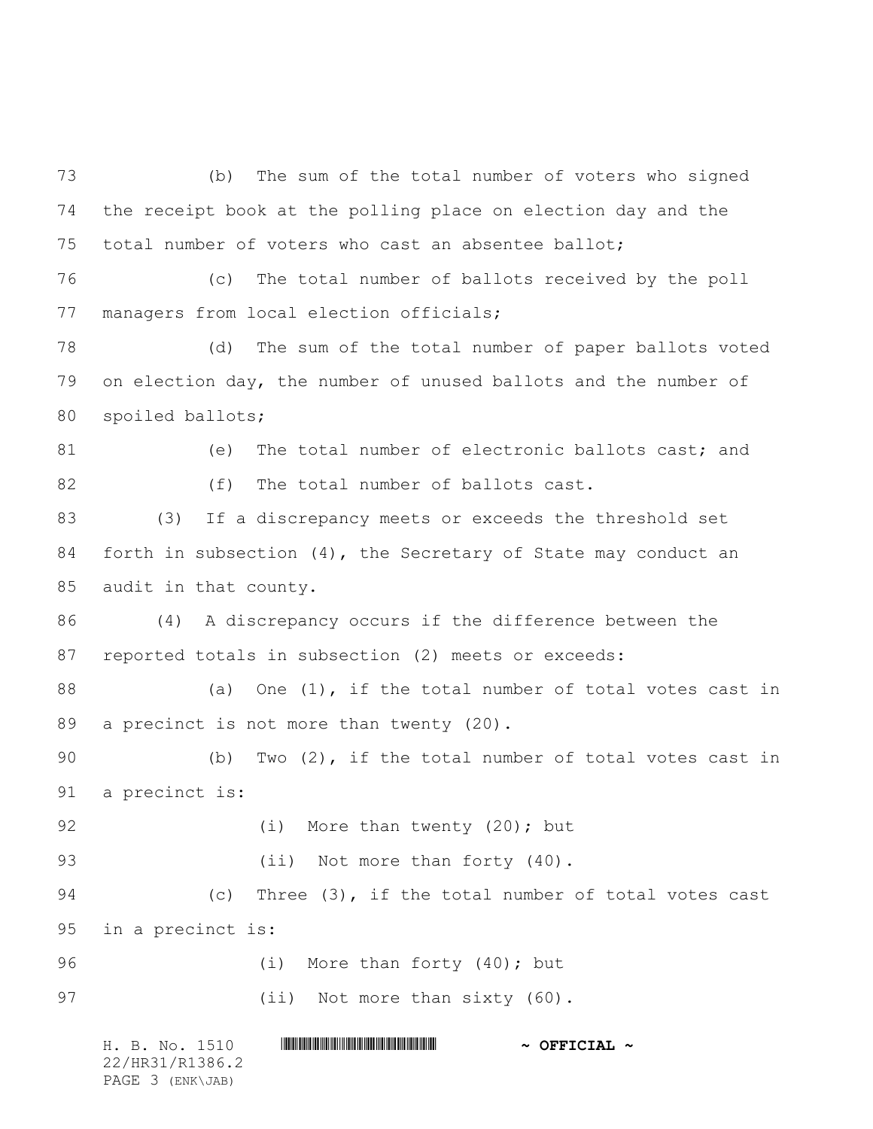H. B. No. 1510 \*HR31/R1386.2\* **~ OFFICIAL ~** (b) The sum of the total number of voters who signed the receipt book at the polling place on election day and the total number of voters who cast an absentee ballot; (c) The total number of ballots received by the poll managers from local election officials; (d) The sum of the total number of paper ballots voted on election day, the number of unused ballots and the number of spoiled ballots; 81 (e) The total number of electronic ballots cast; and 82 (f) The total number of ballots cast. (3) If a discrepancy meets or exceeds the threshold set forth in subsection (4), the Secretary of State may conduct an audit in that county. (4) A discrepancy occurs if the difference between the reported totals in subsection (2) meets or exceeds: 88 (a) One (1), if the total number of total votes cast in 89 a precinct is not more than twenty (20). (b) Two (2), if the total number of total votes cast in a precinct is: 92 (i) More than twenty (20); but 93 (ii) Not more than forty (40). (c) Three (3), if the total number of total votes cast in a precinct is: 96 (i) More than forty (40); but 97 (ii) Not more than sixty (60).

22/HR31/R1386.2 PAGE 3 (ENK\JAB)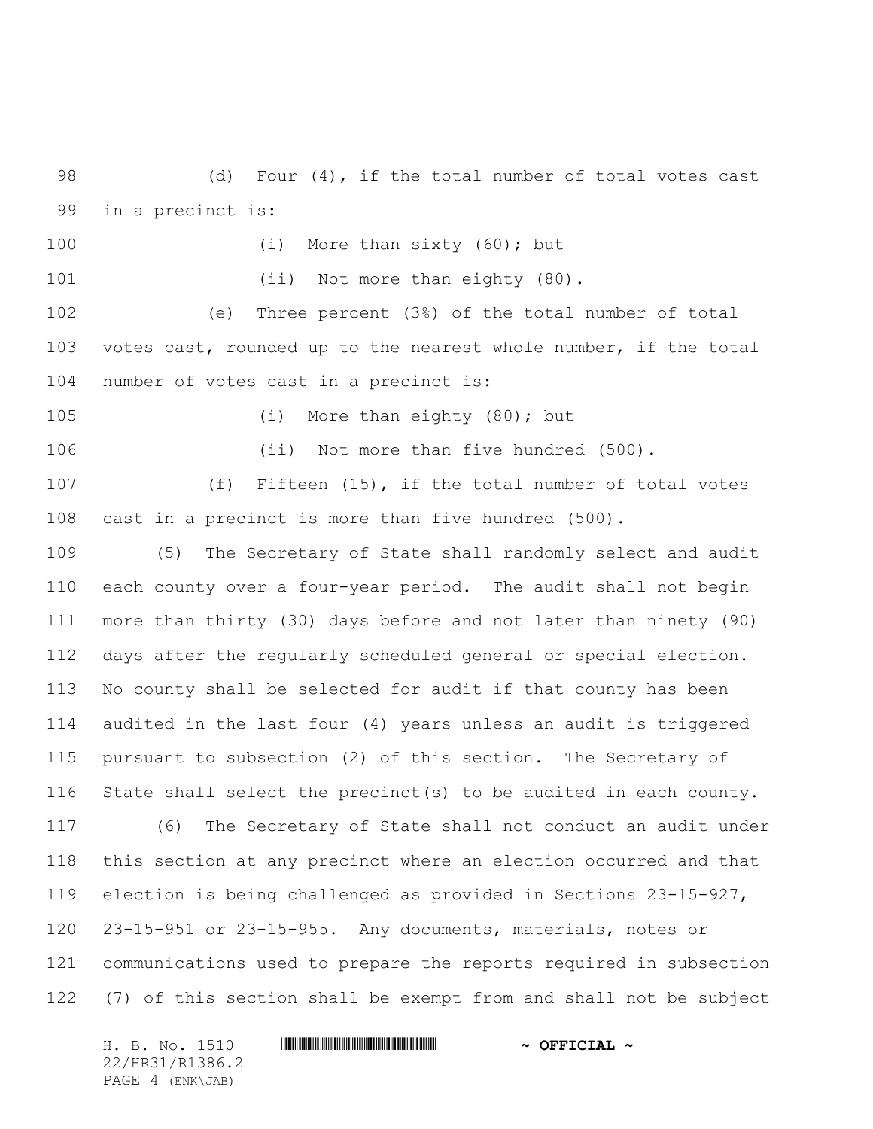(d) Four (4), if the total number of total votes cast in a precinct is:

100 (i) More than sixty (60); but

101 (ii) Not more than eighty (80).

 (e) Three percent (3%) of the total number of total votes cast, rounded up to the nearest whole number, if the total number of votes cast in a precinct is:

105 (i) More than eighty (80); but

(ii) Not more than five hundred (500).

107 (f) Fifteen (15), if the total number of total votes cast in a precinct is more than five hundred (500).

 (5) The Secretary of State shall randomly select and audit each county over a four-year period. The audit shall not begin more than thirty (30) days before and not later than ninety (90) days after the regularly scheduled general or special election. No county shall be selected for audit if that county has been audited in the last four (4) years unless an audit is triggered pursuant to subsection (2) of this section. The Secretary of State shall select the precinct(s) to be audited in each county. (6) The Secretary of State shall not conduct an audit under this section at any precinct where an election occurred and that election is being challenged as provided in Sections 23-15-927, 23-15-951 or 23-15-955. Any documents, materials, notes or communications used to prepare the reports required in subsection (7) of this section shall be exempt from and shall not be subject

H. B. No. 1510 **. WALLET AND A SEPT ALL AND A SEPT CIAL ~** 22/HR31/R1386.2 PAGE 4 (ENK\JAB)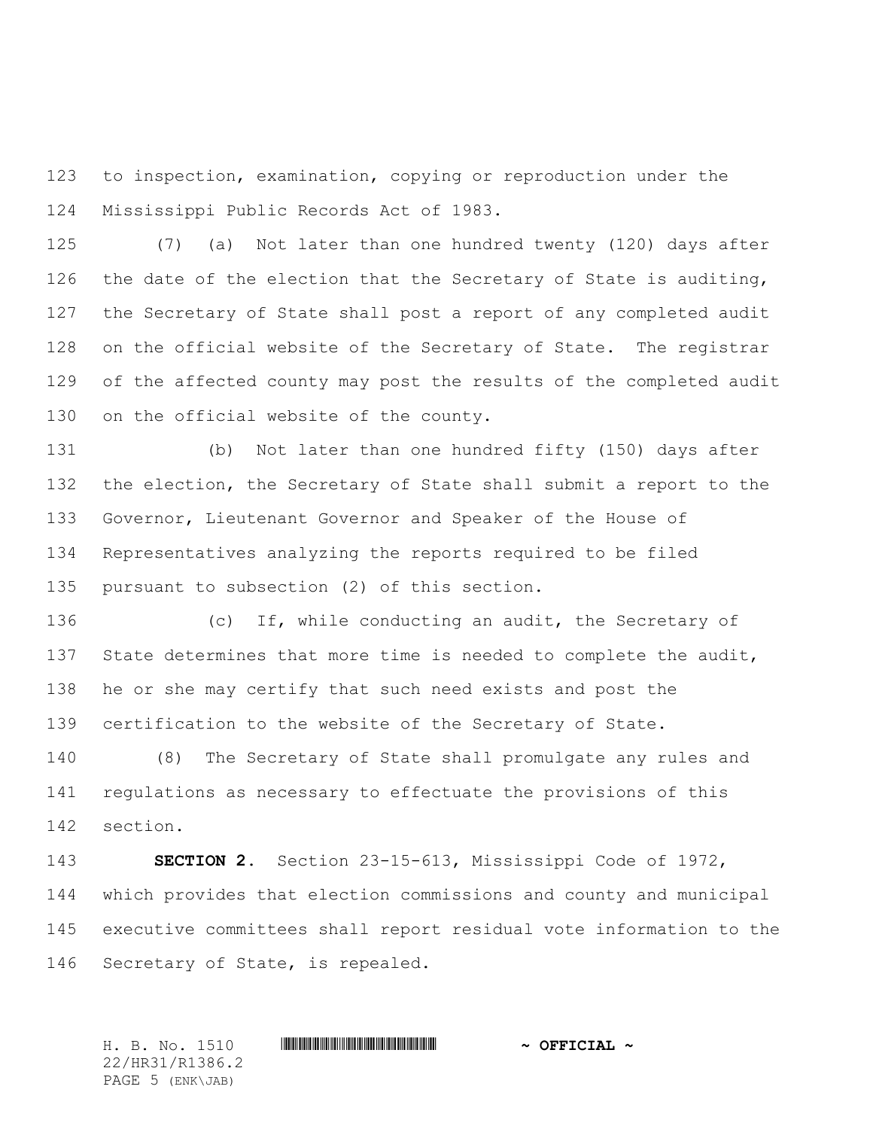to inspection, examination, copying or reproduction under the Mississippi Public Records Act of 1983.

 (7) (a) Not later than one hundred twenty (120) days after 126 the date of the election that the Secretary of State is auditing, the Secretary of State shall post a report of any completed audit on the official website of the Secretary of State. The registrar of the affected county may post the results of the completed audit 130 on the official website of the county.

 (b) Not later than one hundred fifty (150) days after the election, the Secretary of State shall submit a report to the Governor, Lieutenant Governor and Speaker of the House of Representatives analyzing the reports required to be filed pursuant to subsection (2) of this section.

 (c) If, while conducting an audit, the Secretary of 137 State determines that more time is needed to complete the audit, he or she may certify that such need exists and post the certification to the website of the Secretary of State.

 (8) The Secretary of State shall promulgate any rules and regulations as necessary to effectuate the provisions of this section.

 **SECTION 2.** Section 23-15-613, Mississippi Code of 1972, which provides that election commissions and county and municipal executive committees shall report residual vote information to the Secretary of State, is repealed.

H. B. No. 1510 \*HR31/R1386.2\* **~ OFFICIAL ~** 22/HR31/R1386.2 PAGE 5 (ENK\JAB)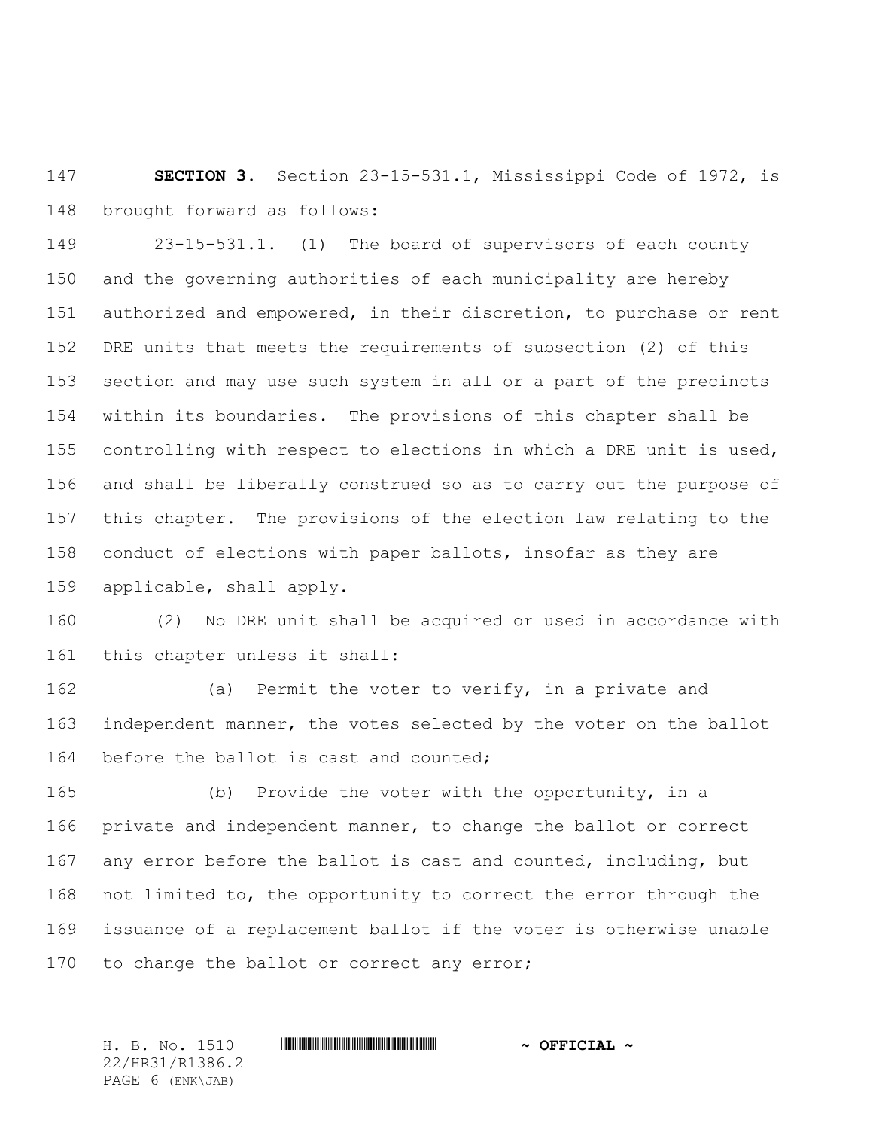**SECTION 3.** Section 23-15-531.1, Mississippi Code of 1972, is brought forward as follows:

 23-15-531.1. (1) The board of supervisors of each county and the governing authorities of each municipality are hereby authorized and empowered, in their discretion, to purchase or rent DRE units that meets the requirements of subsection (2) of this section and may use such system in all or a part of the precincts within its boundaries. The provisions of this chapter shall be controlling with respect to elections in which a DRE unit is used, and shall be liberally construed so as to carry out the purpose of this chapter. The provisions of the election law relating to the conduct of elections with paper ballots, insofar as they are applicable, shall apply.

 (2) No DRE unit shall be acquired or used in accordance with this chapter unless it shall:

 (a) Permit the voter to verify, in a private and independent manner, the votes selected by the voter on the ballot before the ballot is cast and counted;

 (b) Provide the voter with the opportunity, in a private and independent manner, to change the ballot or correct 167 any error before the ballot is cast and counted, including, but not limited to, the opportunity to correct the error through the issuance of a replacement ballot if the voter is otherwise unable 170 to change the ballot or correct any error;

H. B. No. 1510 \*HR31/R1386.2\* **~ OFFICIAL ~** 22/HR31/R1386.2 PAGE 6 (ENK\JAB)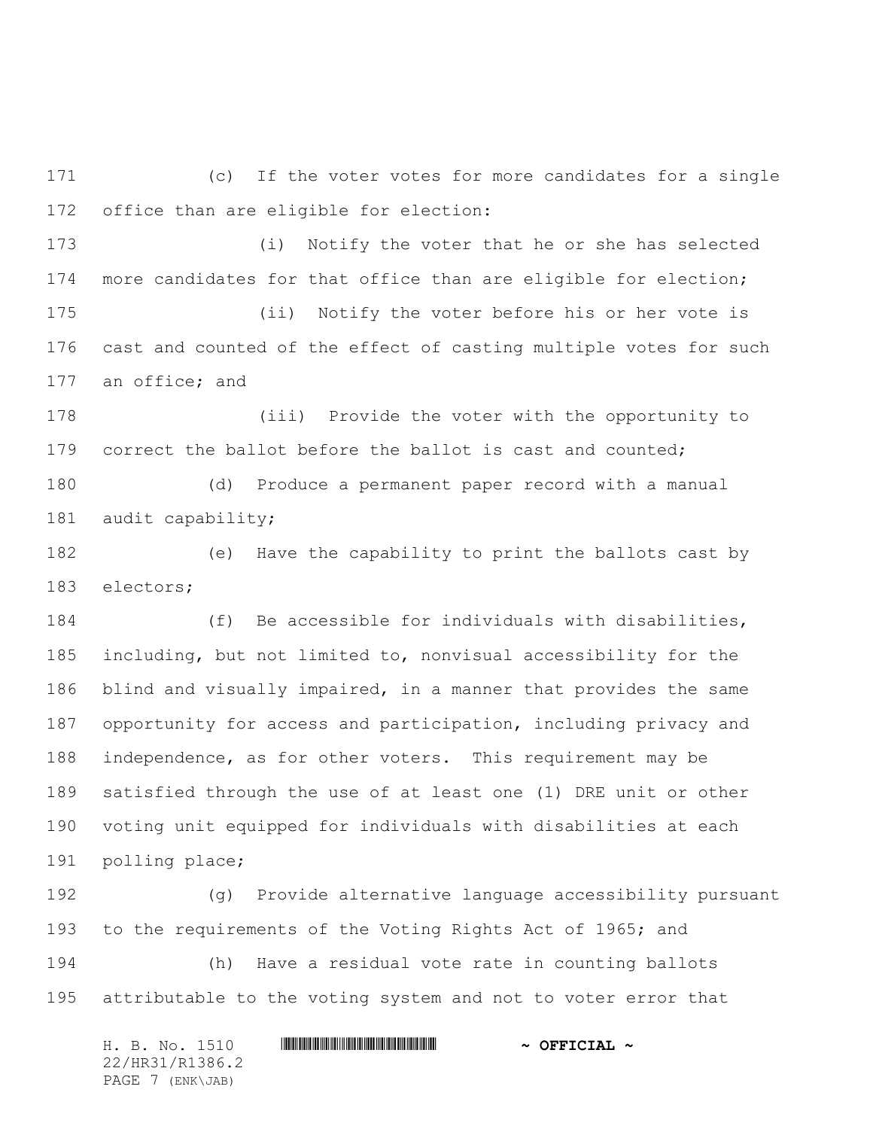(c) If the voter votes for more candidates for a single office than are eligible for election:

 (i) Notify the voter that he or she has selected more candidates for that office than are eligible for election;

 (ii) Notify the voter before his or her vote is cast and counted of the effect of casting multiple votes for such an office; and

 (iii) Provide the voter with the opportunity to 179 correct the ballot before the ballot is cast and counted;

 (d) Produce a permanent paper record with a manual audit capability;

 (e) Have the capability to print the ballots cast by electors;

 (f) Be accessible for individuals with disabilities, including, but not limited to, nonvisual accessibility for the blind and visually impaired, in a manner that provides the same opportunity for access and participation, including privacy and independence, as for other voters. This requirement may be satisfied through the use of at least one (1) DRE unit or other voting unit equipped for individuals with disabilities at each polling place;

 (g) Provide alternative language accessibility pursuant 193 to the requirements of the Voting Rights Act of 1965; and (h) Have a residual vote rate in counting ballots attributable to the voting system and not to voter error that

H. B. No. 1510 **. AND AND AN ADDED HIRST AND A SEPTICIAL**  $\sim$ 22/HR31/R1386.2 PAGE 7 (ENK\JAB)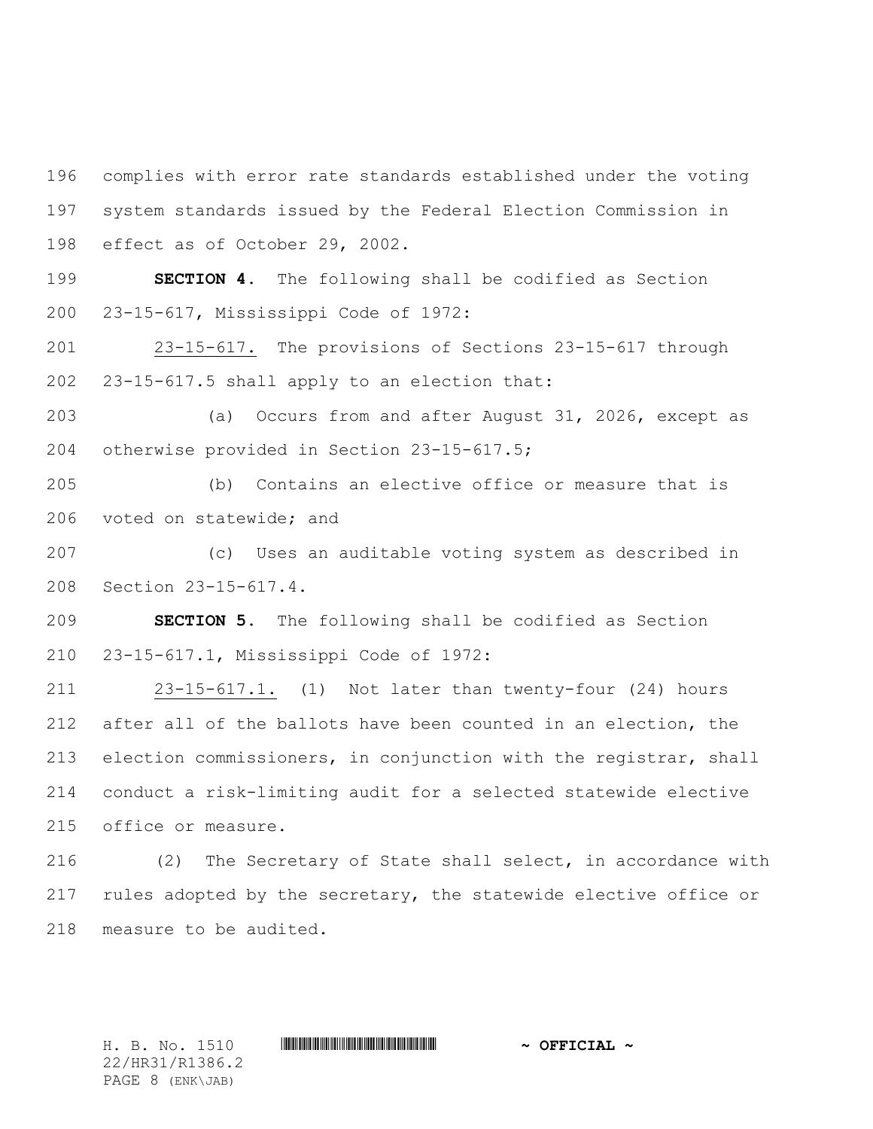complies with error rate standards established under the voting system standards issued by the Federal Election Commission in effect as of October 29, 2002.

 **SECTION 4.** The following shall be codified as Section 23-15-617, Mississippi Code of 1972:

 23-15-617. The provisions of Sections 23-15-617 through 23-15-617.5 shall apply to an election that:

 (a) Occurs from and after August 31, 2026, except as otherwise provided in Section 23-15-617.5;

 (b) Contains an elective office or measure that is voted on statewide; and

 (c) Uses an auditable voting system as described in Section 23-15-617.4.

 **SECTION 5.** The following shall be codified as Section 23-15-617.1, Mississippi Code of 1972:

 23-15-617.1. (1) Not later than twenty-four (24) hours after all of the ballots have been counted in an election, the election commissioners, in conjunction with the registrar, shall conduct a risk-limiting audit for a selected statewide elective office or measure.

 (2) The Secretary of State shall select, in accordance with 217 rules adopted by the secretary, the statewide elective office or measure to be audited.

22/HR31/R1386.2 PAGE 8 (ENK\JAB)

H. B. No. 1510 **. AND A REAL PHOTOGROUP \*** OFFICIAL  $\sim$  OFFICIAL  $\sim$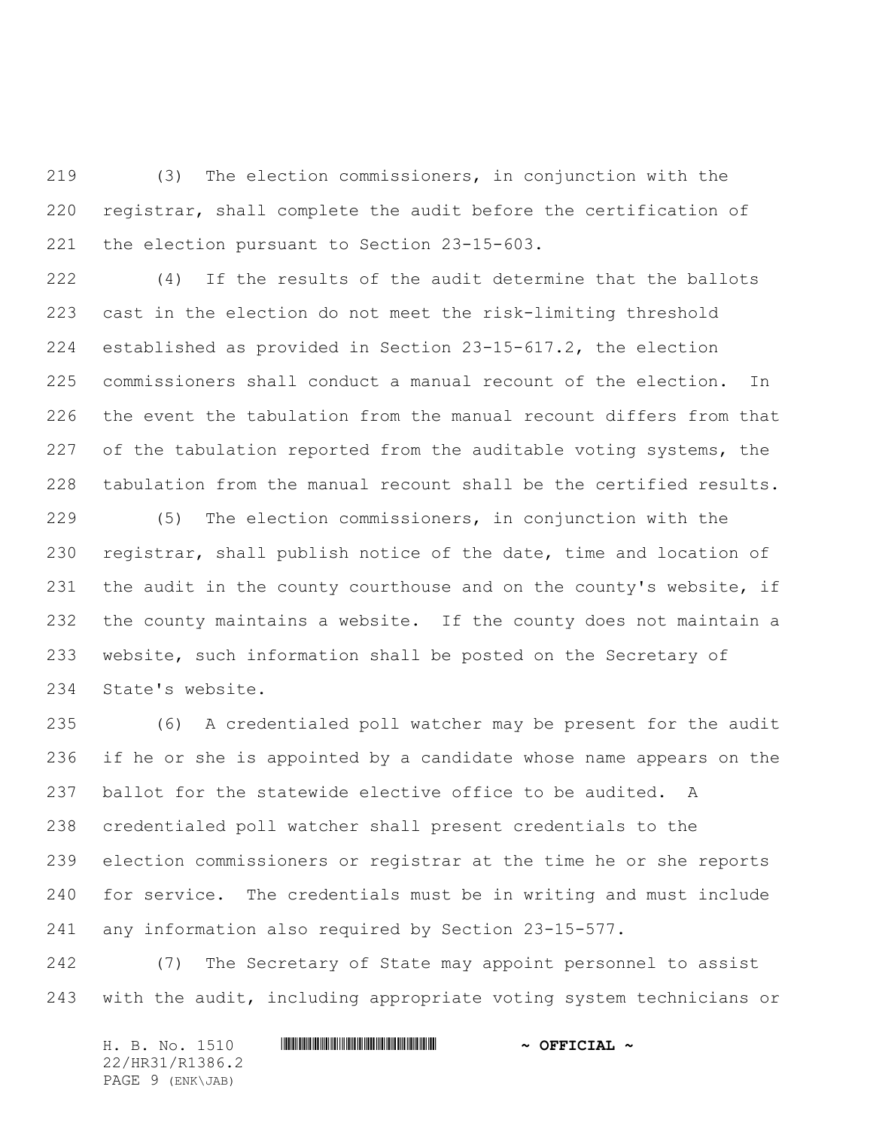(3) The election commissioners, in conjunction with the registrar, shall complete the audit before the certification of the election pursuant to Section 23-15-603.

 (4) If the results of the audit determine that the ballots cast in the election do not meet the risk-limiting threshold established as provided in Section 23-15-617.2, the election commissioners shall conduct a manual recount of the election. In the event the tabulation from the manual recount differs from that 227 of the tabulation reported from the auditable voting systems, the tabulation from the manual recount shall be the certified results.

 (5) The election commissioners, in conjunction with the registrar, shall publish notice of the date, time and location of 231 the audit in the county courthouse and on the county's website, if the county maintains a website. If the county does not maintain a website, such information shall be posted on the Secretary of State's website.

 (6) A credentialed poll watcher may be present for the audit if he or she is appointed by a candidate whose name appears on the ballot for the statewide elective office to be audited. A credentialed poll watcher shall present credentials to the election commissioners or registrar at the time he or she reports for service. The credentials must be in writing and must include any information also required by Section 23-15-577.

 (7) The Secretary of State may appoint personnel to assist with the audit, including appropriate voting system technicians or

H. B. No. 1510 **. WALLET AND A SEPT ALL AND A SEPT CIAL ~** 22/HR31/R1386.2 PAGE 9 (ENK\JAB)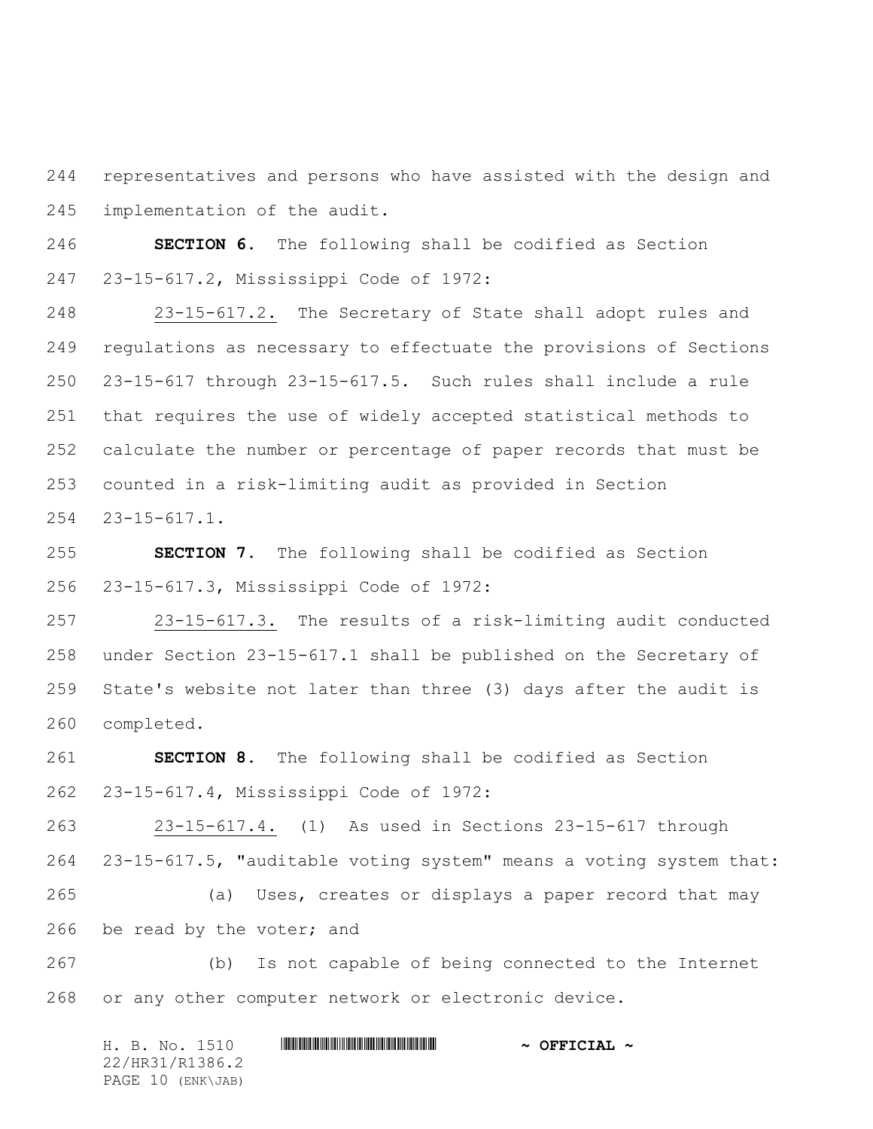representatives and persons who have assisted with the design and implementation of the audit.

 **SECTION 6.** The following shall be codified as Section 23-15-617.2, Mississippi Code of 1972:

 23-15-617.2. The Secretary of State shall adopt rules and regulations as necessary to effectuate the provisions of Sections 23-15-617 through 23-15-617.5. Such rules shall include a rule that requires the use of widely accepted statistical methods to calculate the number or percentage of paper records that must be counted in a risk-limiting audit as provided in Section 23-15-617.1.

 **SECTION 7.** The following shall be codified as Section 23-15-617.3, Mississippi Code of 1972:

 23-15-617.3. The results of a risk-limiting audit conducted under Section 23-15-617.1 shall be published on the Secretary of State's website not later than three (3) days after the audit is completed.

 **SECTION 8.** The following shall be codified as Section 23-15-617.4, Mississippi Code of 1972:

 23-15-617.4. (1) As used in Sections 23-15-617 through 23-15-617.5, "auditable voting system" means a voting system that: (a) Uses, creates or displays a paper record that may 266 be read by the voter; and

 (b) Is not capable of being connected to the Internet or any other computer network or electronic device.

H. B. No. 1510 **. AND AND AN ADDED HIRST AND A SEPTICIAL**  $\sim$ 22/HR31/R1386.2 PAGE 10 (ENK\JAB)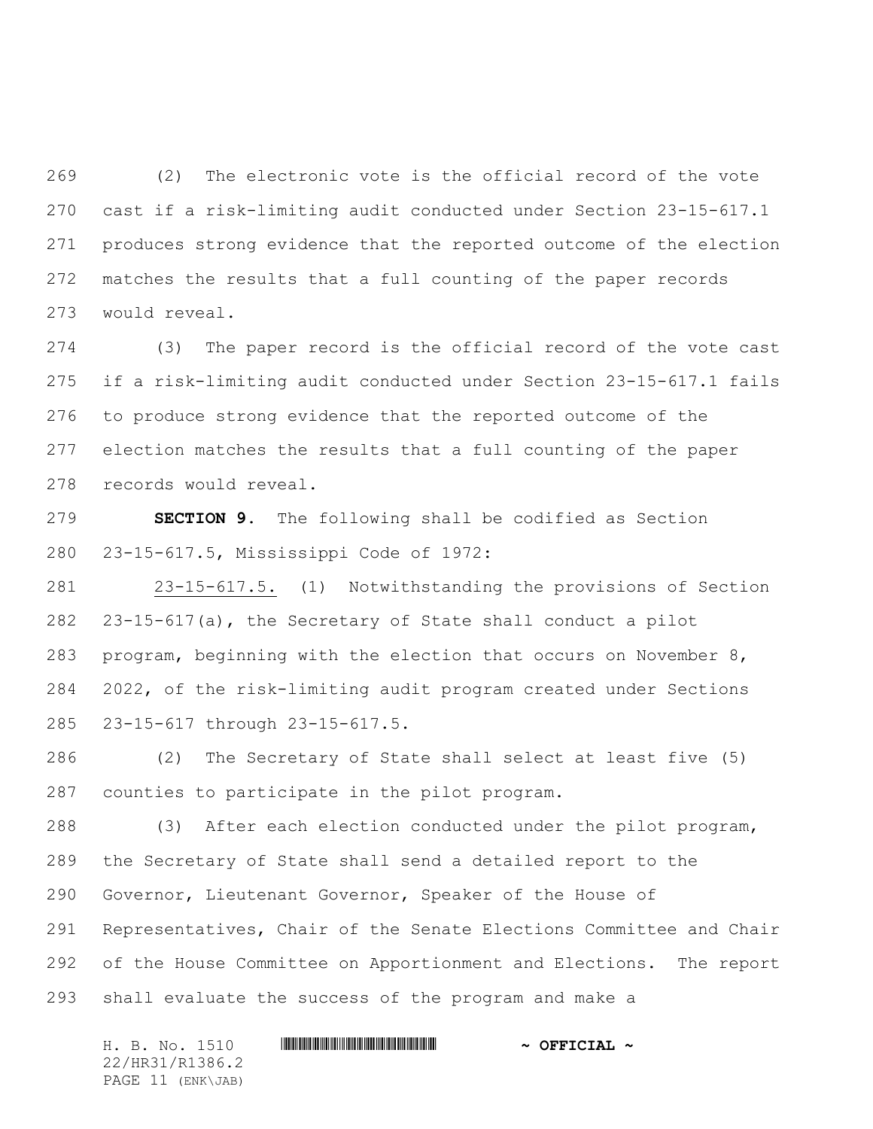(2) The electronic vote is the official record of the vote cast if a risk-limiting audit conducted under Section 23-15-617.1 produces strong evidence that the reported outcome of the election matches the results that a full counting of the paper records would reveal.

 (3) The paper record is the official record of the vote cast if a risk-limiting audit conducted under Section 23-15-617.1 fails to produce strong evidence that the reported outcome of the election matches the results that a full counting of the paper records would reveal.

 **SECTION 9.** The following shall be codified as Section 23-15-617.5, Mississippi Code of 1972:

 23-15-617.5. (1) Notwithstanding the provisions of Section 23-15-617(a), the Secretary of State shall conduct a pilot program, beginning with the election that occurs on November 8, 2022, of the risk-limiting audit program created under Sections 23-15-617 through 23-15-617.5.

 (2) The Secretary of State shall select at least five (5) counties to participate in the pilot program.

 (3) After each election conducted under the pilot program, the Secretary of State shall send a detailed report to the Governor, Lieutenant Governor, Speaker of the House of Representatives, Chair of the Senate Elections Committee and Chair of the House Committee on Apportionment and Elections. The report shall evaluate the success of the program and make a

H. B. No. 1510 **. AND A REAL PHOTOGROUP \*** OFFICIAL  $\sim$  OFFICIAL  $\sim$ 22/HR31/R1386.2 PAGE 11 (ENK\JAB)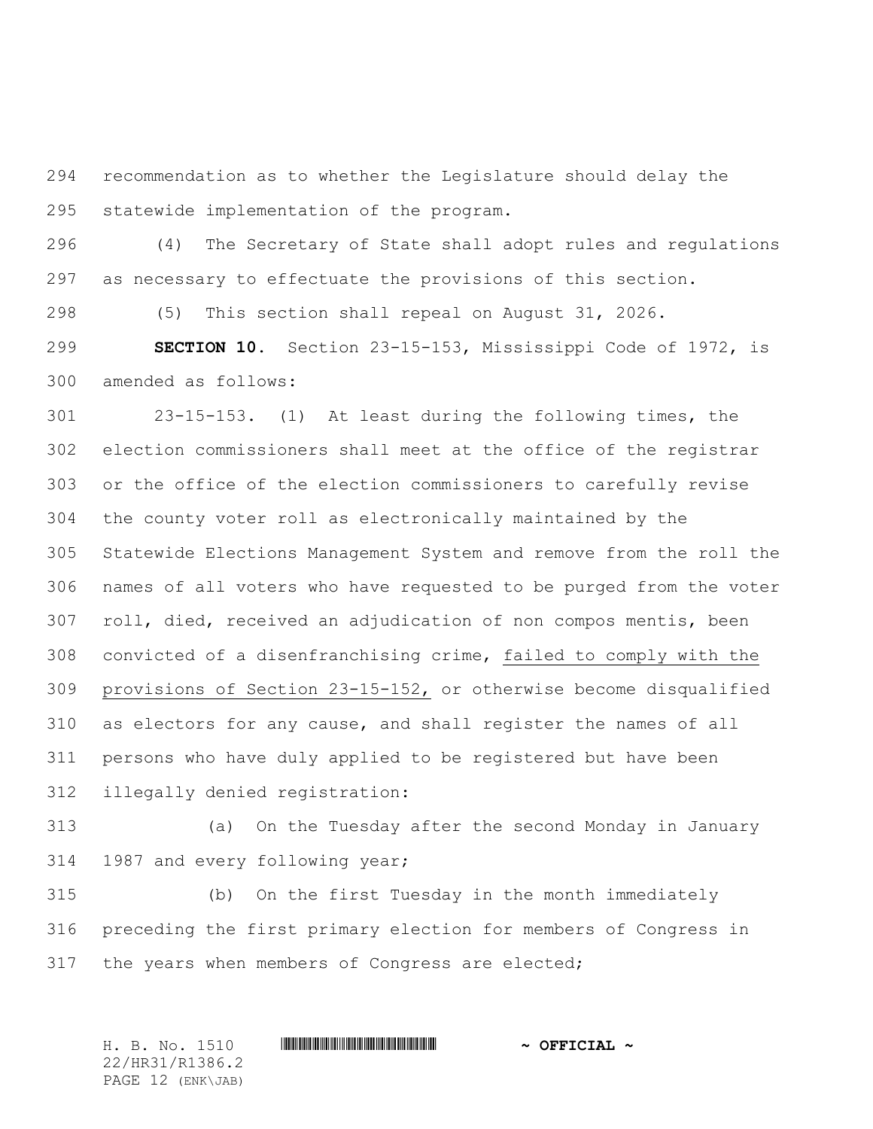recommendation as to whether the Legislature should delay the statewide implementation of the program.

 (4) The Secretary of State shall adopt rules and regulations as necessary to effectuate the provisions of this section.

(5) This section shall repeal on August 31, 2026.

 **SECTION 10.** Section 23-15-153, Mississippi Code of 1972, is amended as follows:

 23-15-153. (1) At least during the following times, the election commissioners shall meet at the office of the registrar or the office of the election commissioners to carefully revise the county voter roll as electronically maintained by the Statewide Elections Management System and remove from the roll the names of all voters who have requested to be purged from the voter roll, died, received an adjudication of non compos mentis, been convicted of a disenfranchising crime, failed to comply with the provisions of Section 23-15-152, or otherwise become disqualified as electors for any cause, and shall register the names of all persons who have duly applied to be registered but have been illegally denied registration:

 (a) On the Tuesday after the second Monday in January 1987 and every following year;

 (b) On the first Tuesday in the month immediately preceding the first primary election for members of Congress in the years when members of Congress are elected;

H. B. No. 1510 \*HR31/R1386.2\* **~ OFFICIAL ~** 22/HR31/R1386.2 PAGE 12 (ENK\JAB)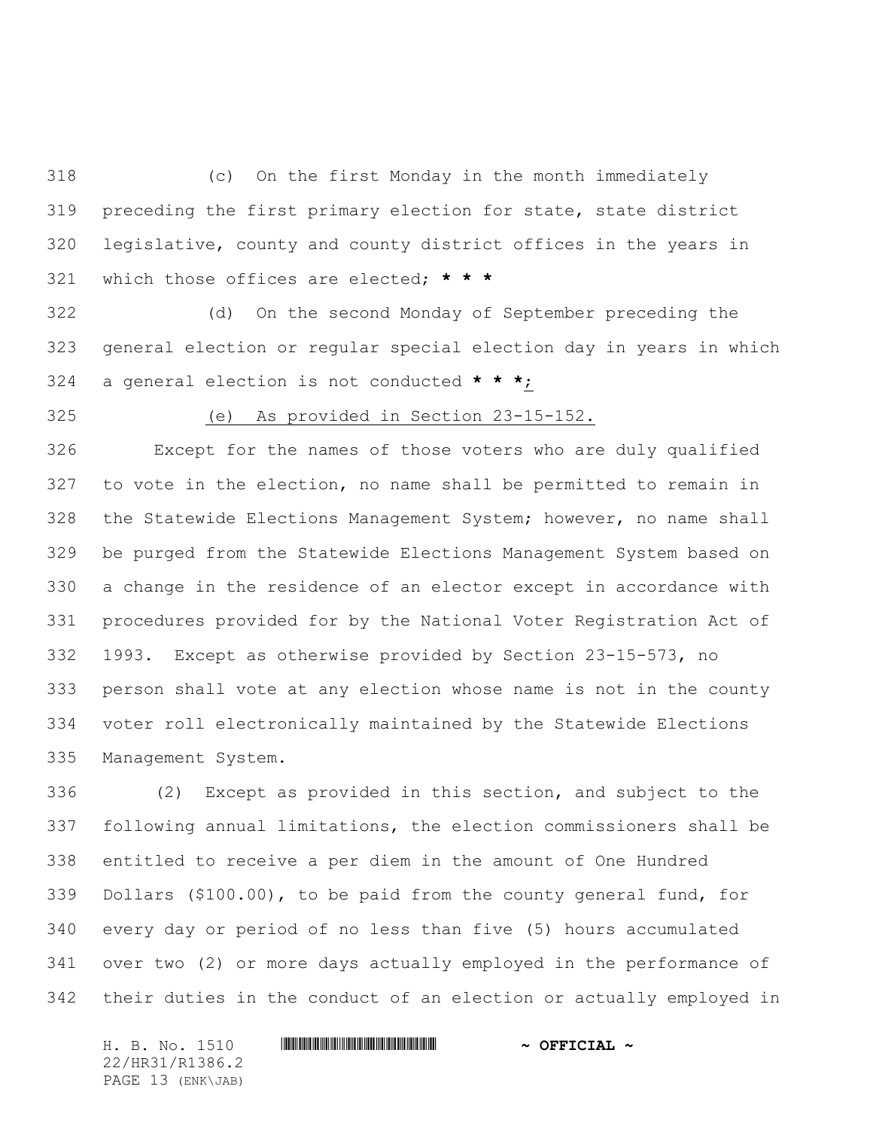(c) On the first Monday in the month immediately preceding the first primary election for state, state district legislative, county and county district offices in the years in which those offices are elected; **\* \* \***

 (d) On the second Monday of September preceding the general election or regular special election day in years in which a general election is not conducted **\* \* \***;

(e) As provided in Section 23-15-152.

 Except for the names of those voters who are duly qualified to vote in the election, no name shall be permitted to remain in the Statewide Elections Management System; however, no name shall be purged from the Statewide Elections Management System based on a change in the residence of an elector except in accordance with procedures provided for by the National Voter Registration Act of 1993. Except as otherwise provided by Section 23-15-573, no person shall vote at any election whose name is not in the county voter roll electronically maintained by the Statewide Elections Management System.

 (2) Except as provided in this section, and subject to the following annual limitations, the election commissioners shall be entitled to receive a per diem in the amount of One Hundred Dollars (\$100.00), to be paid from the county general fund, for every day or period of no less than five (5) hours accumulated over two (2) or more days actually employed in the performance of their duties in the conduct of an election or actually employed in

H. B. No. 1510 \*HR31/R1386.2\* **~ OFFICIAL ~** 22/HR31/R1386.2 PAGE 13 (ENK\JAB)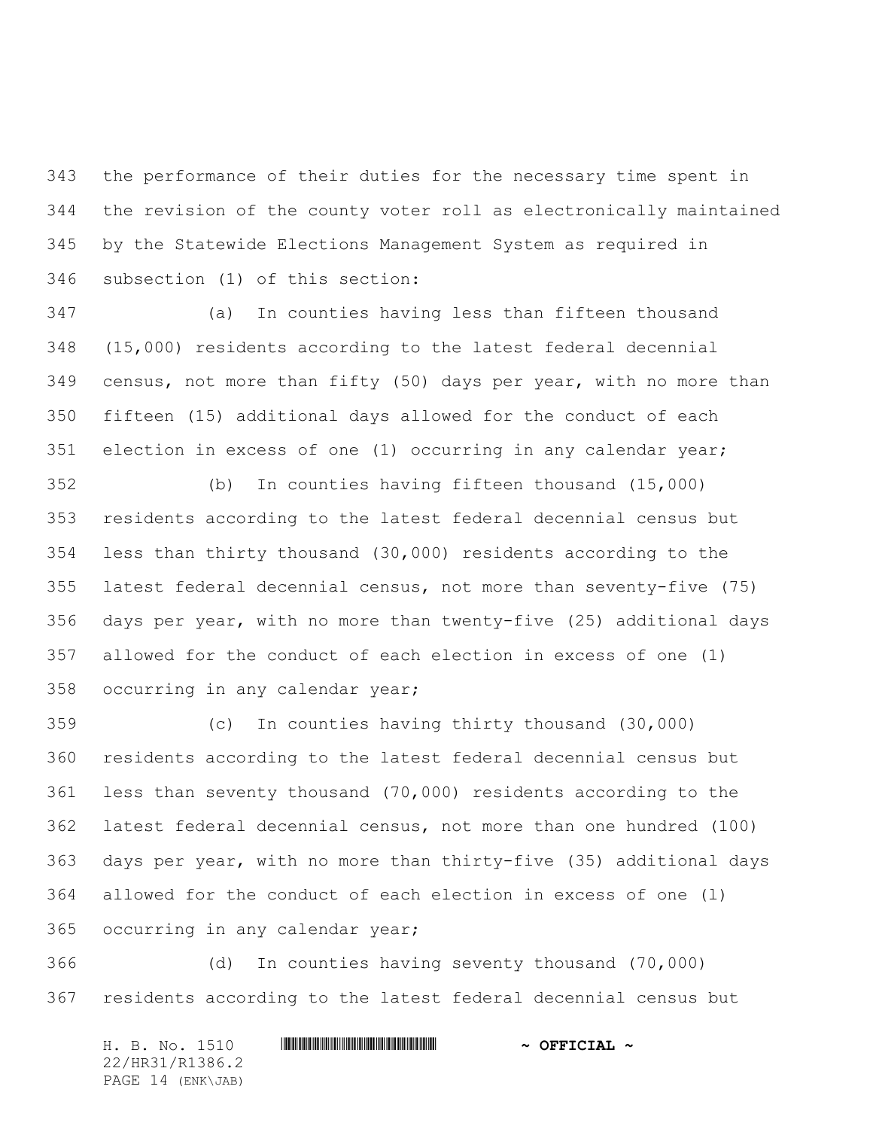the performance of their duties for the necessary time spent in the revision of the county voter roll as electronically maintained by the Statewide Elections Management System as required in subsection (1) of this section:

 (a) In counties having less than fifteen thousand (15,000) residents according to the latest federal decennial census, not more than fifty (50) days per year, with no more than fifteen (15) additional days allowed for the conduct of each election in excess of one (1) occurring in any calendar year;

 (b) In counties having fifteen thousand (15,000) residents according to the latest federal decennial census but less than thirty thousand (30,000) residents according to the latest federal decennial census, not more than seventy-five (75) days per year, with no more than twenty-five (25) additional days allowed for the conduct of each election in excess of one (1) occurring in any calendar year;

 (c) In counties having thirty thousand (30,000) residents according to the latest federal decennial census but less than seventy thousand (70,000) residents according to the latest federal decennial census, not more than one hundred (100) days per year, with no more than thirty-five (35) additional days allowed for the conduct of each election in excess of one (l) occurring in any calendar year;

 (d) In counties having seventy thousand (70,000) residents according to the latest federal decennial census but

H. B. No. 1510 **. WALLET AND A SEPT ALL AND A SEPT CIAL ~** 22/HR31/R1386.2 PAGE 14 (ENK\JAB)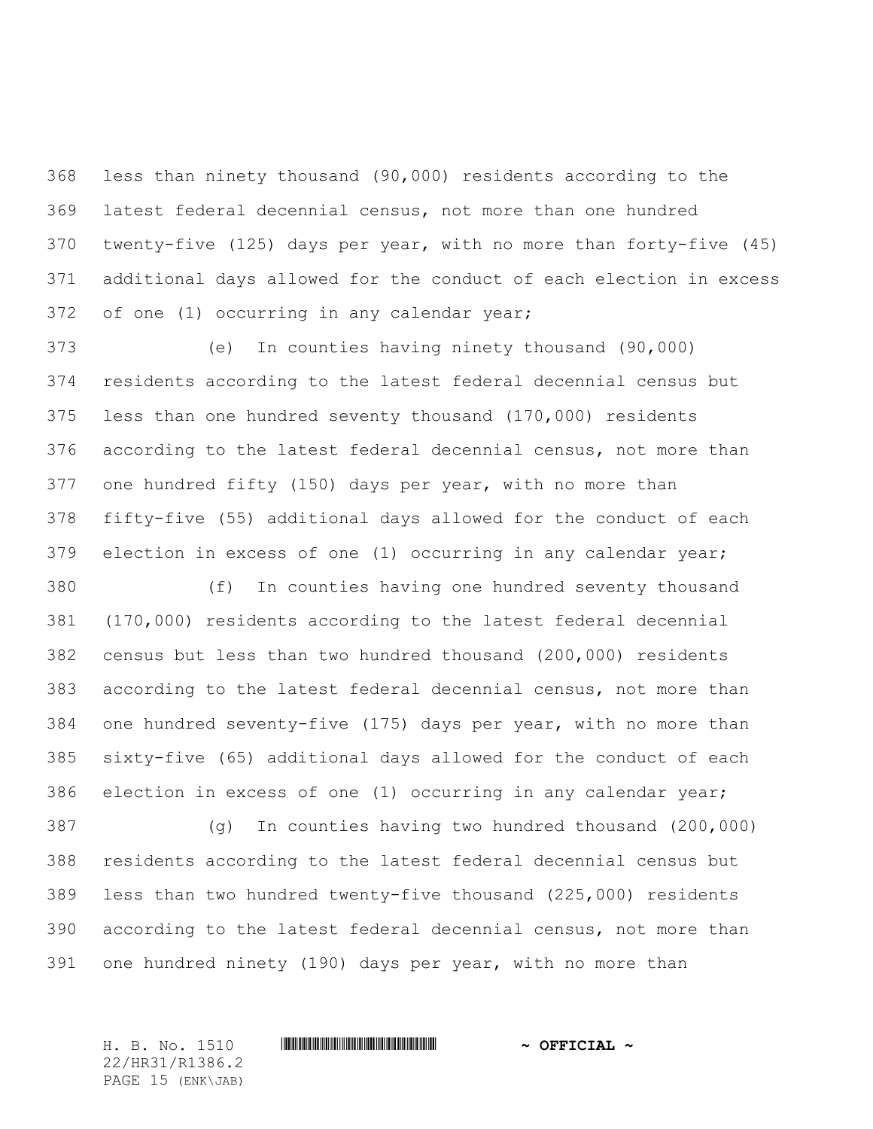less than ninety thousand (90,000) residents according to the latest federal decennial census, not more than one hundred twenty-five (125) days per year, with no more than forty-five (45) additional days allowed for the conduct of each election in excess of one (1) occurring in any calendar year;

 (e) In counties having ninety thousand (90,000) residents according to the latest federal decennial census but less than one hundred seventy thousand (170,000) residents according to the latest federal decennial census, not more than one hundred fifty (150) days per year, with no more than fifty-five (55) additional days allowed for the conduct of each election in excess of one (1) occurring in any calendar year;

 (f) In counties having one hundred seventy thousand (170,000) residents according to the latest federal decennial census but less than two hundred thousand (200,000) residents according to the latest federal decennial census, not more than one hundred seventy-five (175) days per year, with no more than sixty-five (65) additional days allowed for the conduct of each election in excess of one (1) occurring in any calendar year;

 (g) In counties having two hundred thousand (200,000) residents according to the latest federal decennial census but less than two hundred twenty-five thousand (225,000) residents according to the latest federal decennial census, not more than one hundred ninety (190) days per year, with no more than

22/HR31/R1386.2 PAGE 15 (ENK\JAB)

## H. B. No. 1510 \*HR31/R1386.2\* **~ OFFICIAL ~**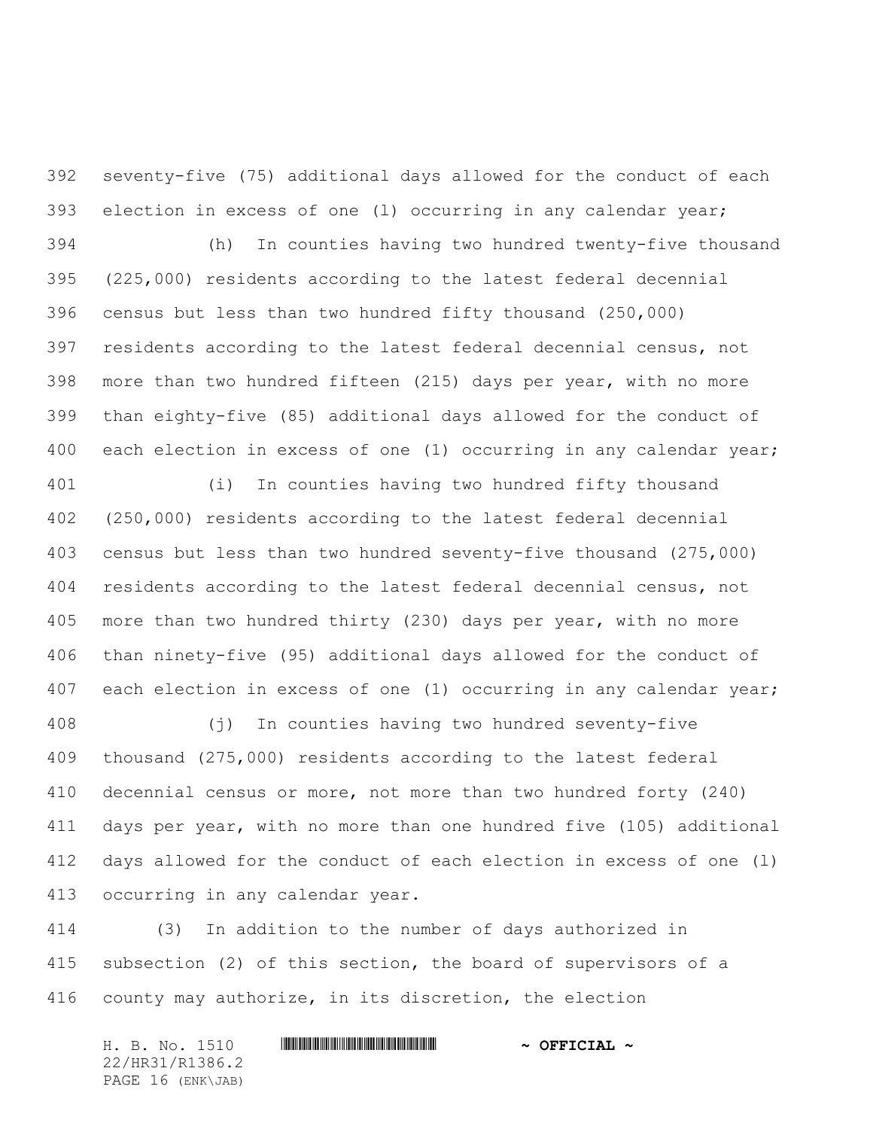seventy-five (75) additional days allowed for the conduct of each election in excess of one (l) occurring in any calendar year;

 (h) In counties having two hundred twenty-five thousand (225,000) residents according to the latest federal decennial census but less than two hundred fifty thousand (250,000) residents according to the latest federal decennial census, not more than two hundred fifteen (215) days per year, with no more than eighty-five (85) additional days allowed for the conduct of each election in excess of one (1) occurring in any calendar year;

 (i) In counties having two hundred fifty thousand (250,000) residents according to the latest federal decennial census but less than two hundred seventy-five thousand (275,000) residents according to the latest federal decennial census, not more than two hundred thirty (230) days per year, with no more than ninety-five (95) additional days allowed for the conduct of each election in excess of one (1) occurring in any calendar year;

 (j) In counties having two hundred seventy-five thousand (275,000) residents according to the latest federal decennial census or more, not more than two hundred forty (240) days per year, with no more than one hundred five (105) additional days allowed for the conduct of each election in excess of one (l) occurring in any calendar year.

 (3) In addition to the number of days authorized in subsection (2) of this section, the board of supervisors of a county may authorize, in its discretion, the election

H. B. No. 1510 **. WALLET AND A SEPT ALL AND A SEPT CIAL ~** 22/HR31/R1386.2 PAGE 16 (ENK\JAB)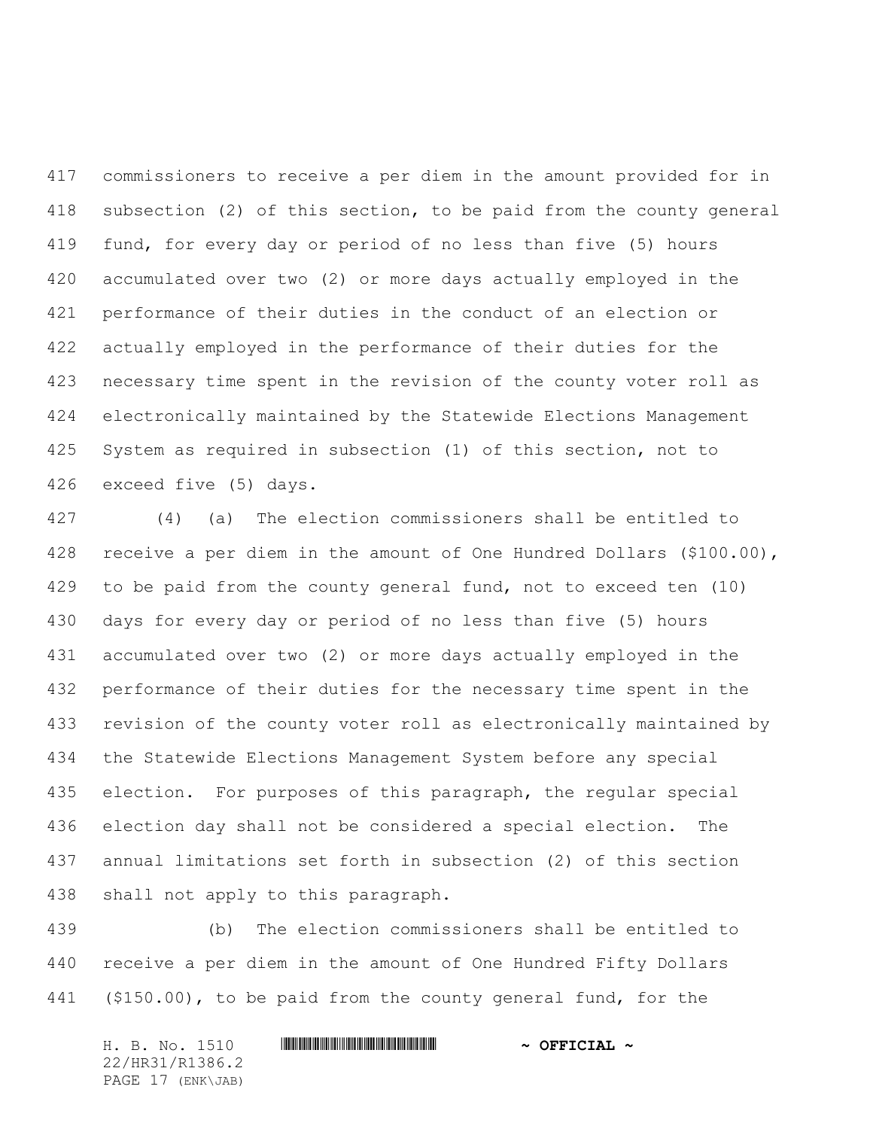commissioners to receive a per diem in the amount provided for in subsection (2) of this section, to be paid from the county general fund, for every day or period of no less than five (5) hours accumulated over two (2) or more days actually employed in the performance of their duties in the conduct of an election or actually employed in the performance of their duties for the necessary time spent in the revision of the county voter roll as electronically maintained by the Statewide Elections Management System as required in subsection (1) of this section, not to exceed five (5) days.

 (4) (a) The election commissioners shall be entitled to receive a per diem in the amount of One Hundred Dollars (\$100.00), to be paid from the county general fund, not to exceed ten (10) days for every day or period of no less than five (5) hours accumulated over two (2) or more days actually employed in the performance of their duties for the necessary time spent in the revision of the county voter roll as electronically maintained by the Statewide Elections Management System before any special election. For purposes of this paragraph, the regular special election day shall not be considered a special election. The annual limitations set forth in subsection (2) of this section shall not apply to this paragraph.

 (b) The election commissioners shall be entitled to receive a per diem in the amount of One Hundred Fifty Dollars (\$150.00), to be paid from the county general fund, for the

H. B. No. 1510 **. WALLET AND A SEPT ALL AND A SEPT CIAL ~** 22/HR31/R1386.2 PAGE 17 (ENK\JAB)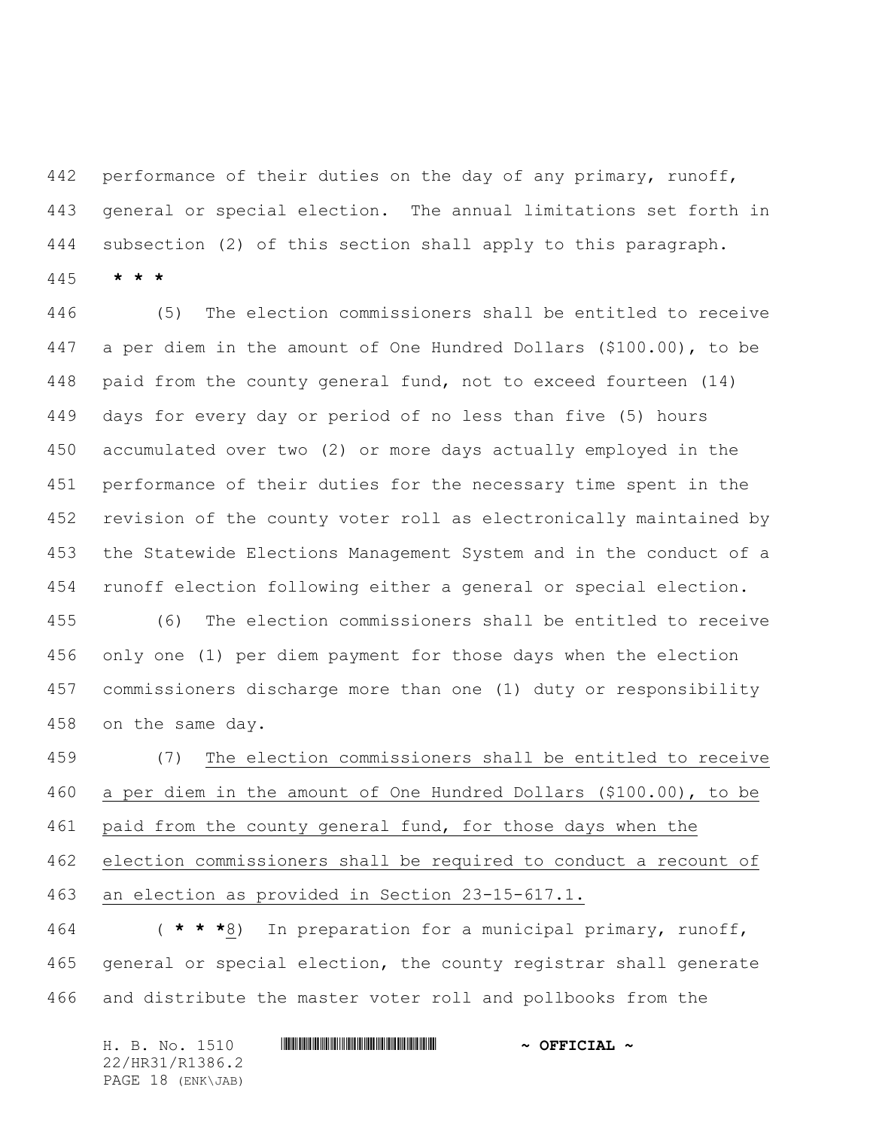442 performance of their duties on the day of any primary, runoff, general or special election. The annual limitations set forth in subsection (2) of this section shall apply to this paragraph.

**\* \* \***

 (5) The election commissioners shall be entitled to receive a per diem in the amount of One Hundred Dollars (\$100.00), to be paid from the county general fund, not to exceed fourteen (14) days for every day or period of no less than five (5) hours accumulated over two (2) or more days actually employed in the performance of their duties for the necessary time spent in the revision of the county voter roll as electronically maintained by the Statewide Elections Management System and in the conduct of a runoff election following either a general or special election.

 (6) The election commissioners shall be entitled to receive only one (1) per diem payment for those days when the election commissioners discharge more than one (1) duty or responsibility on the same day.

 (7) The election commissioners shall be entitled to receive a per diem in the amount of One Hundred Dollars (\$100.00), to be 461 paid from the county general fund, for those days when the election commissioners shall be required to conduct a recount of an election as provided in Section 23-15-617.1.

 ( **\* \* \***8) In preparation for a municipal primary, runoff, general or special election, the county registrar shall generate and distribute the master voter roll and pollbooks from the

H. B. No. 1510 **. WALLET AND A SEPT ALL AND A SEPT CIAL ~** 22/HR31/R1386.2 PAGE 18 (ENK\JAB)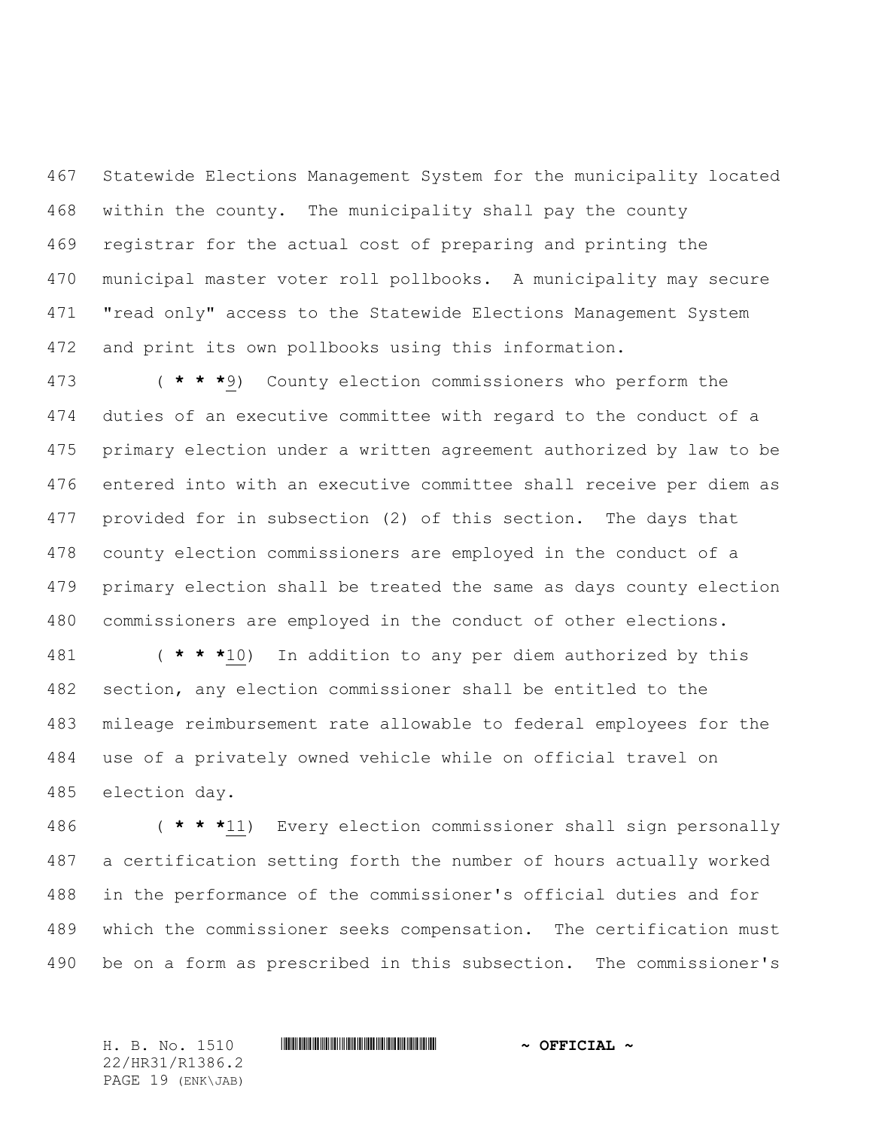Statewide Elections Management System for the municipality located within the county. The municipality shall pay the county registrar for the actual cost of preparing and printing the municipal master voter roll pollbooks. A municipality may secure "read only" access to the Statewide Elections Management System and print its own pollbooks using this information.

 ( **\* \* \***9) County election commissioners who perform the duties of an executive committee with regard to the conduct of a primary election under a written agreement authorized by law to be entered into with an executive committee shall receive per diem as provided for in subsection (2) of this section. The days that county election commissioners are employed in the conduct of a primary election shall be treated the same as days county election commissioners are employed in the conduct of other elections.

 ( **\* \* \***10) In addition to any per diem authorized by this section, any election commissioner shall be entitled to the mileage reimbursement rate allowable to federal employees for the use of a privately owned vehicle while on official travel on election day.

 ( **\* \* \***11) Every election commissioner shall sign personally a certification setting forth the number of hours actually worked in the performance of the commissioner's official duties and for which the commissioner seeks compensation. The certification must be on a form as prescribed in this subsection. The commissioner's

H. B. No. 1510 \*HR31/R1386.2\* **~ OFFICIAL ~** 22/HR31/R1386.2 PAGE 19 (ENK\JAB)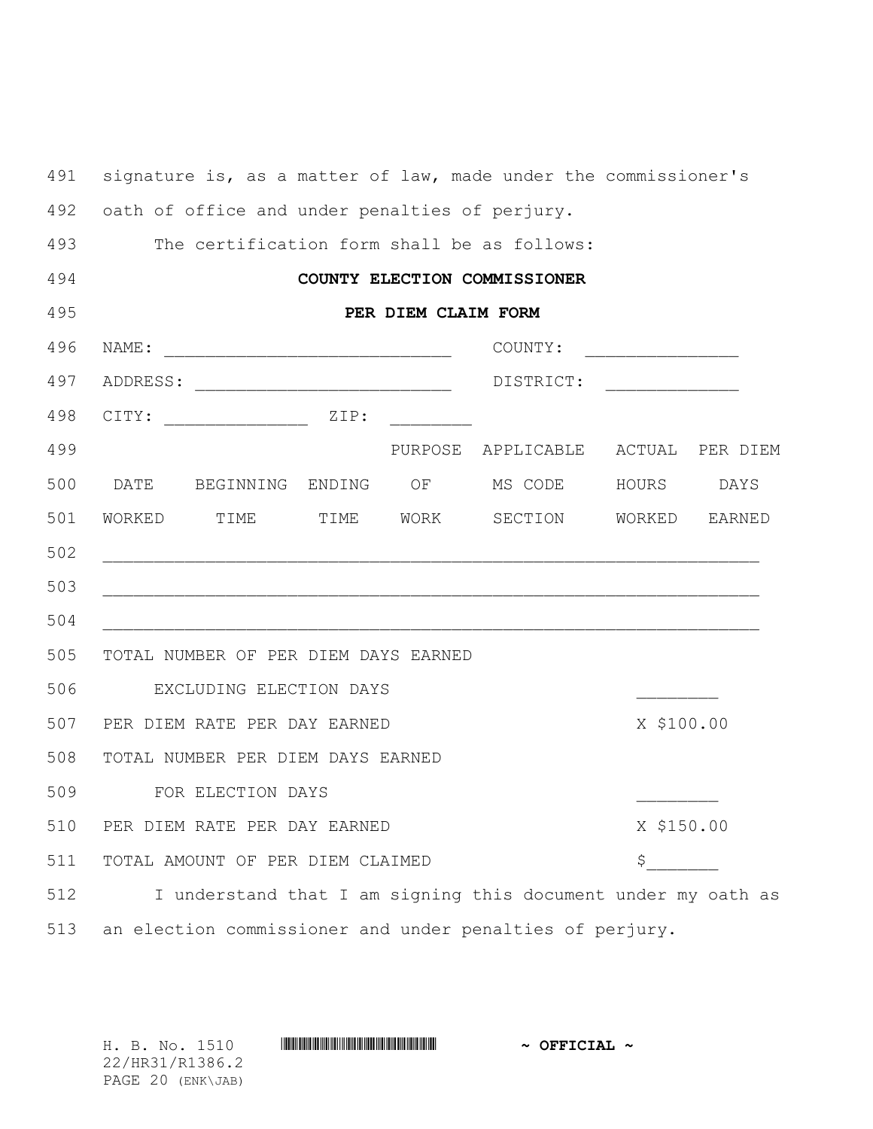| 491 |                                                          |                                                     |  |  | signature is, as a matter of law, made under the commissioner's                                                       |                                         |               |
|-----|----------------------------------------------------------|-----------------------------------------------------|--|--|-----------------------------------------------------------------------------------------------------------------------|-----------------------------------------|---------------|
| 492 | oath of office and under penalties of perjury.           |                                                     |  |  |                                                                                                                       |                                         |               |
| 493 | The certification form shall be as follows:              |                                                     |  |  |                                                                                                                       |                                         |               |
| 494 |                                                          |                                                     |  |  | COUNTY ELECTION COMMISSIONER                                                                                          |                                         |               |
| 495 | PER DIEM CLAIM FORM                                      |                                                     |  |  |                                                                                                                       |                                         |               |
| 496 | NAME:                                                    |                                                     |  |  | COUNTY:                                                                                                               | <u> 1989 - Johann Barn, mars et al.</u> |               |
| 497 |                                                          |                                                     |  |  | DISTRICT: _______________                                                                                             |                                         |               |
| 498 | CITY:                                                    | $\begin{array}{cccc}\n & \mathbf{ZIP:} \end{array}$ |  |  |                                                                                                                       |                                         |               |
| 499 |                                                          |                                                     |  |  | PURPOSE APPLICABLE ACTUAL PER DIEM                                                                                    |                                         |               |
| 500 | DATE                                                     |                                                     |  |  | BEGINNING ENDING OF MSCODE HOURS                                                                                      |                                         | DAYS          |
| 501 |                                                          |                                                     |  |  | WORKED TIME TIME WORK SECTION                                                                                         |                                         | WORKED EARNED |
| 502 |                                                          |                                                     |  |  |                                                                                                                       |                                         |               |
| 503 |                                                          |                                                     |  |  | <u> 1989 - Johann Harry Harry Harry Harry Harry Harry Harry Harry Harry Harry Harry Harry Harry Harry Harry Harry</u> |                                         |               |
| 504 |                                                          |                                                     |  |  |                                                                                                                       |                                         |               |
| 505 |                                                          | TOTAL NUMBER OF PER DIEM DAYS EARNED                |  |  |                                                                                                                       |                                         |               |
| 506 |                                                          | EXCLUDING ELECTION DAYS                             |  |  |                                                                                                                       |                                         |               |
| 507 |                                                          | PER DIEM RATE PER DAY EARNED                        |  |  | X \$100.00                                                                                                            |                                         |               |
| 508 |                                                          | TOTAL NUMBER PER DIEM DAYS EARNED                   |  |  |                                                                                                                       |                                         |               |
| 509 |                                                          | FOR ELECTION DAYS                                   |  |  |                                                                                                                       |                                         |               |
| 510 | PER DIEM RATE PER DAY EARNED                             |                                                     |  |  |                                                                                                                       | X \$150.00                              |               |
| 511 | TOTAL AMOUNT OF PER DIEM CLAIMED                         |                                                     |  |  | \$                                                                                                                    |                                         |               |
| 512 |                                                          |                                                     |  |  | I understand that I am signing this document under my oath as                                                         |                                         |               |
| 513 | an election commissioner and under penalties of perjury. |                                                     |  |  |                                                                                                                       |                                         |               |

H. B. No. 1510 **HR31086.2. And All 2010 ~ OFFICIAL ~** 22/HR31/R1386.2

PAGE 20 (ENK\JAB)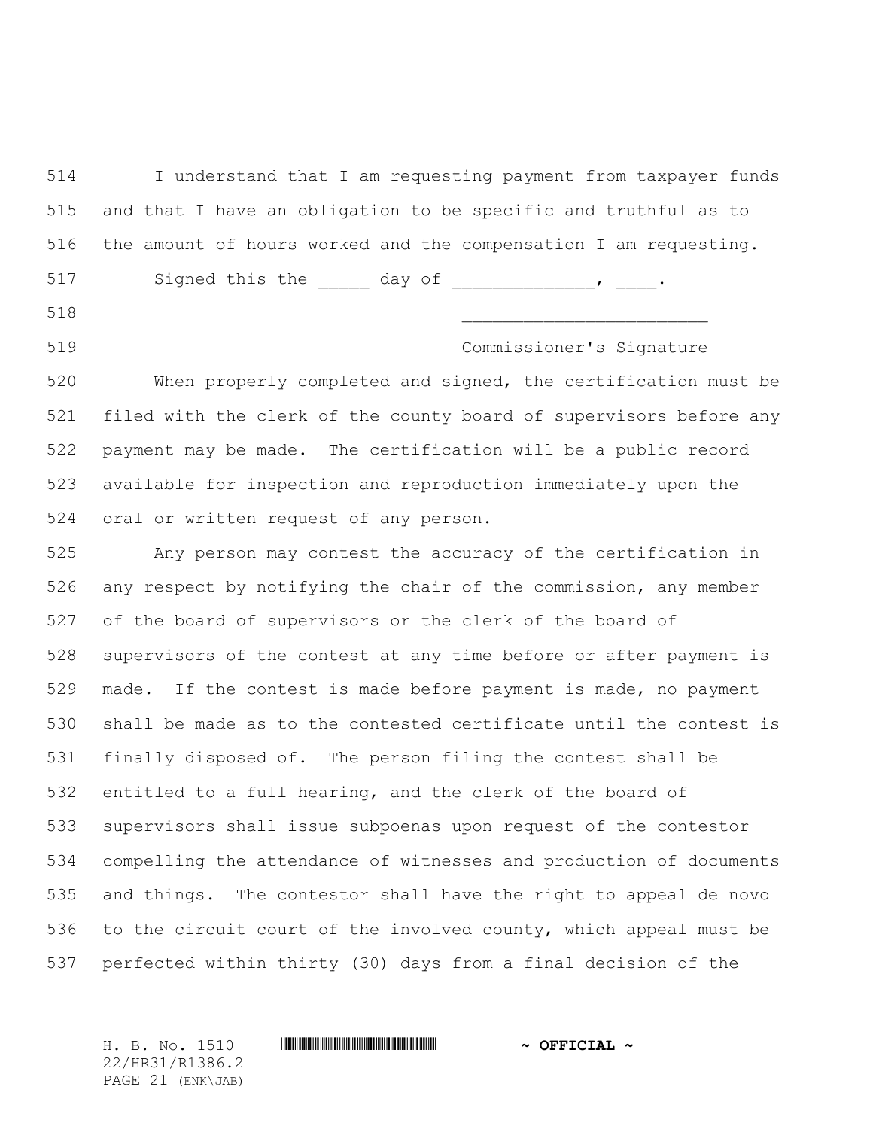I understand that I am requesting payment from taxpayer funds and that I have an obligation to be specific and truthful as to the amount of hours worked and the compensation I am requesting. 517 Signed this the day of the new theory of the state of the state of the state of the state of the state of

\_\_\_\_\_\_\_\_\_\_\_\_\_\_\_\_\_\_\_\_\_\_\_\_

Commissioner's Signature

 When properly completed and signed, the certification must be filed with the clerk of the county board of supervisors before any payment may be made. The certification will be a public record available for inspection and reproduction immediately upon the oral or written request of any person.

 Any person may contest the accuracy of the certification in any respect by notifying the chair of the commission, any member of the board of supervisors or the clerk of the board of supervisors of the contest at any time before or after payment is made. If the contest is made before payment is made, no payment shall be made as to the contested certificate until the contest is finally disposed of. The person filing the contest shall be entitled to a full hearing, and the clerk of the board of supervisors shall issue subpoenas upon request of the contestor compelling the attendance of witnesses and production of documents and things. The contestor shall have the right to appeal de novo to the circuit court of the involved county, which appeal must be perfected within thirty (30) days from a final decision of the

22/HR31/R1386.2 PAGE 21 (ENK\JAB)

H. B. No. 1510 \*HR31/R1386.2\* **~ OFFICIAL ~**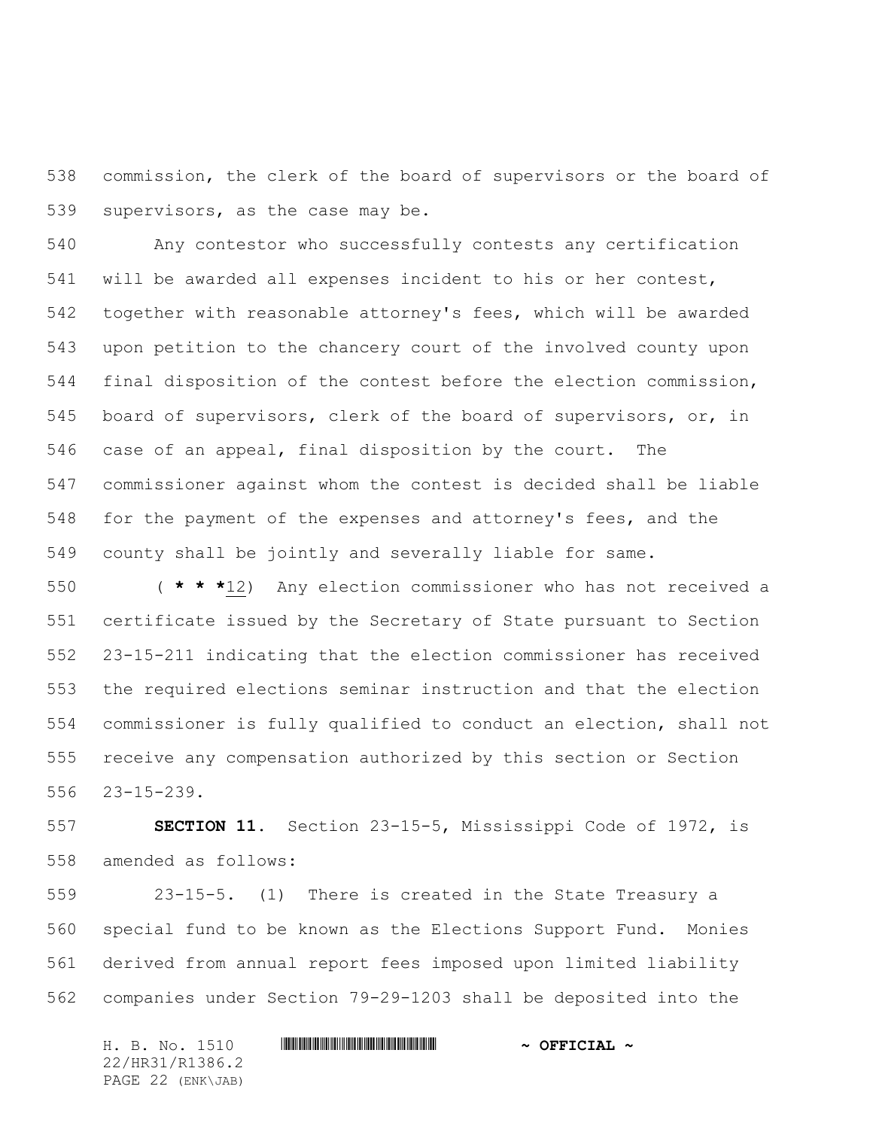commission, the clerk of the board of supervisors or the board of supervisors, as the case may be.

 Any contestor who successfully contests any certification will be awarded all expenses incident to his or her contest, together with reasonable attorney's fees, which will be awarded upon petition to the chancery court of the involved county upon final disposition of the contest before the election commission, board of supervisors, clerk of the board of supervisors, or, in case of an appeal, final disposition by the court. The commissioner against whom the contest is decided shall be liable for the payment of the expenses and attorney's fees, and the county shall be jointly and severally liable for same.

 ( **\* \* \***12) Any election commissioner who has not received a certificate issued by the Secretary of State pursuant to Section 23-15-211 indicating that the election commissioner has received the required elections seminar instruction and that the election commissioner is fully qualified to conduct an election, shall not receive any compensation authorized by this section or Section 23-15-239.

 **SECTION 11.** Section 23-15-5, Mississippi Code of 1972, is amended as follows:

 23-15-5. (1) There is created in the State Treasury a special fund to be known as the Elections Support Fund. Monies derived from annual report fees imposed upon limited liability companies under Section 79-29-1203 shall be deposited into the

H. B. No. 1510 **. WALLET AND A SEPT ALL AND A SEPT CIAL ~** 22/HR31/R1386.2 PAGE 22 (ENK\JAB)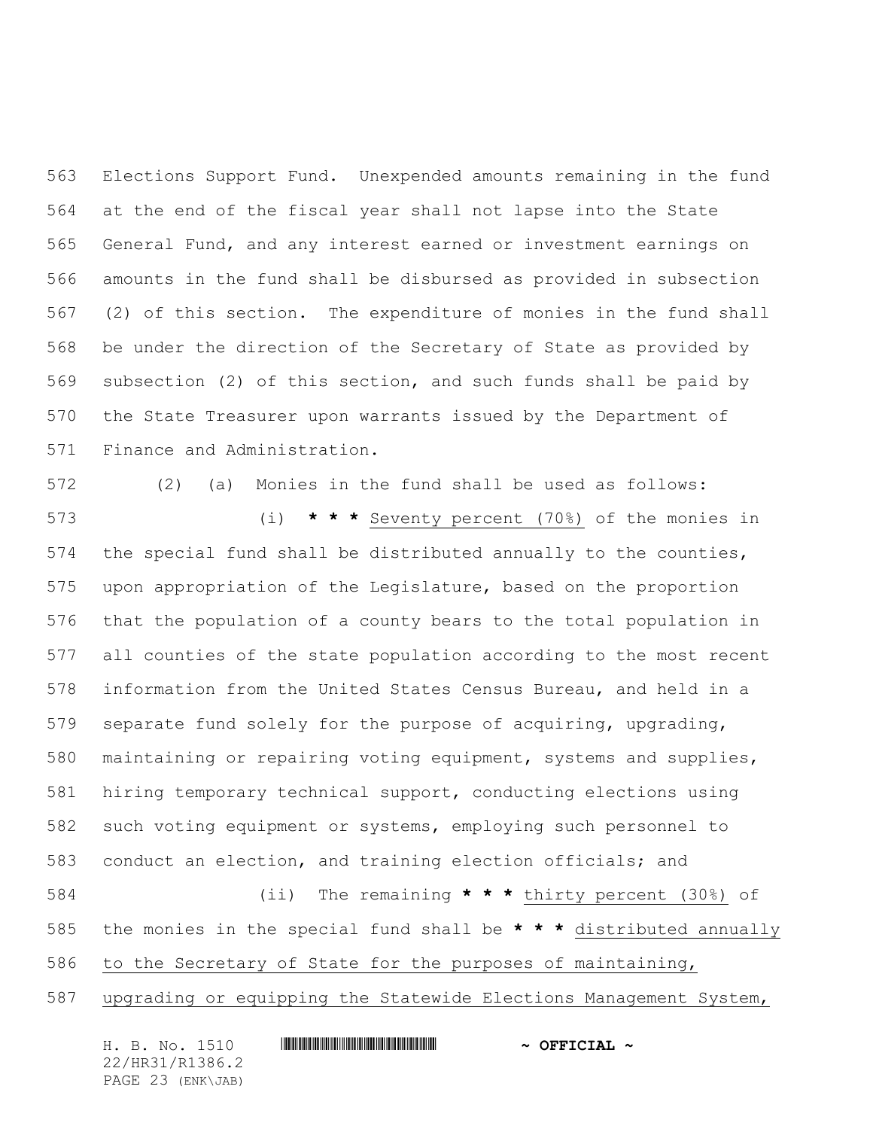Elections Support Fund. Unexpended amounts remaining in the fund at the end of the fiscal year shall not lapse into the State General Fund, and any interest earned or investment earnings on amounts in the fund shall be disbursed as provided in subsection (2) of this section. The expenditure of monies in the fund shall be under the direction of the Secretary of State as provided by subsection (2) of this section, and such funds shall be paid by the State Treasurer upon warrants issued by the Department of Finance and Administration.

 (2) (a) Monies in the fund shall be used as follows: (i) **\* \* \*** Seventy percent (70%) of the monies in the special fund shall be distributed annually to the counties, upon appropriation of the Legislature, based on the proportion that the population of a county bears to the total population in all counties of the state population according to the most recent information from the United States Census Bureau, and held in a separate fund solely for the purpose of acquiring, upgrading, maintaining or repairing voting equipment, systems and supplies, hiring temporary technical support, conducting elections using such voting equipment or systems, employing such personnel to conduct an election, and training election officials; and (ii) The remaining **\* \* \*** thirty percent (30%) of the monies in the special fund shall be **\* \* \*** distributed annually to the Secretary of State for the purposes of maintaining,

upgrading or equipping the Statewide Elections Management System,

| H. B. No. 1510    | $\sim$ OFFICIAL $\sim$ |
|-------------------|------------------------|
| 22/HR31/R1386.2   |                        |
| PAGE 23 (ENK\JAB) |                        |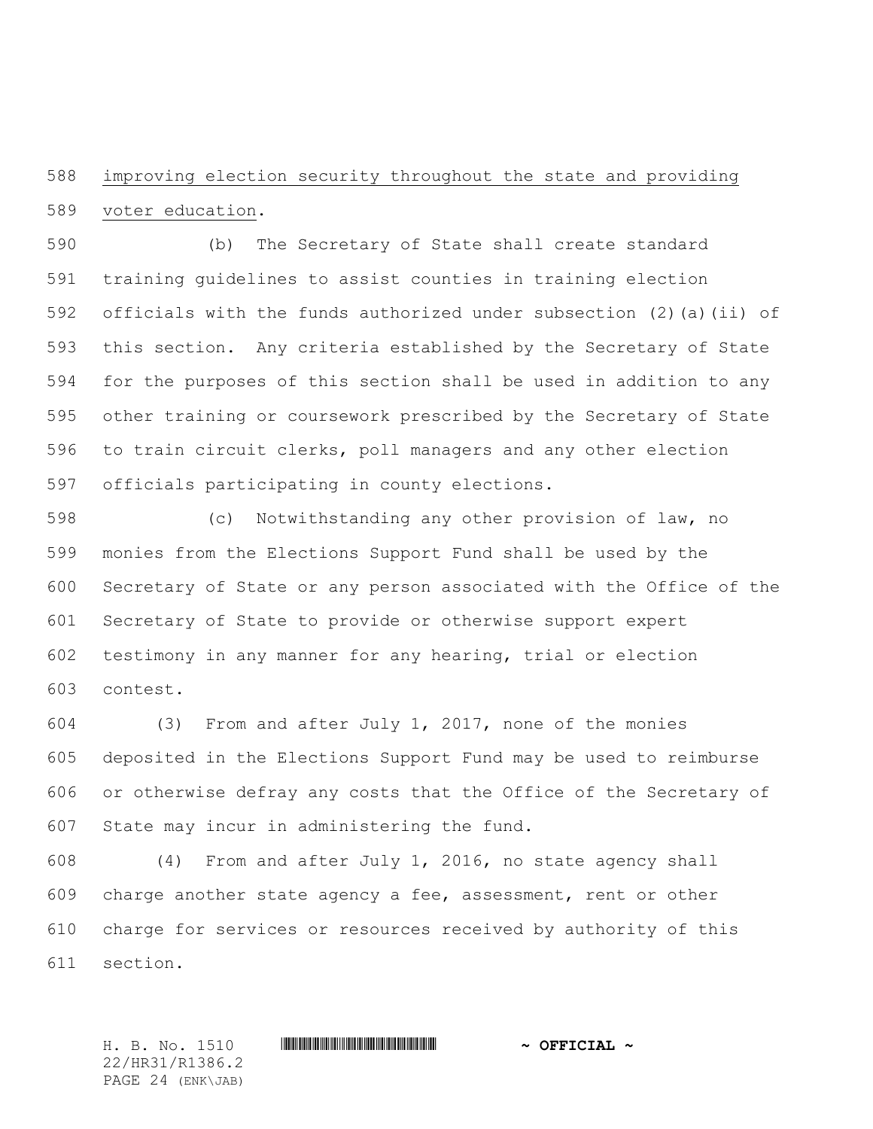improving election security throughout the state and providing voter education.

 (b) The Secretary of State shall create standard training guidelines to assist counties in training election officials with the funds authorized under subsection (2)(a)(ii) of this section. Any criteria established by the Secretary of State for the purposes of this section shall be used in addition to any other training or coursework prescribed by the Secretary of State to train circuit clerks, poll managers and any other election officials participating in county elections.

 (c) Notwithstanding any other provision of law, no monies from the Elections Support Fund shall be used by the Secretary of State or any person associated with the Office of the Secretary of State to provide or otherwise support expert testimony in any manner for any hearing, trial or election contest.

 (3) From and after July 1, 2017, none of the monies deposited in the Elections Support Fund may be used to reimburse or otherwise defray any costs that the Office of the Secretary of State may incur in administering the fund.

 (4) From and after July 1, 2016, no state agency shall charge another state agency a fee, assessment, rent or other charge for services or resources received by authority of this section.

H. B. No. 1510 **. AND A REAL PHOTOGROUP \*** OFFICIAL  $\sim$  OFFICIAL  $\sim$ 22/HR31/R1386.2 PAGE 24 (ENK\JAB)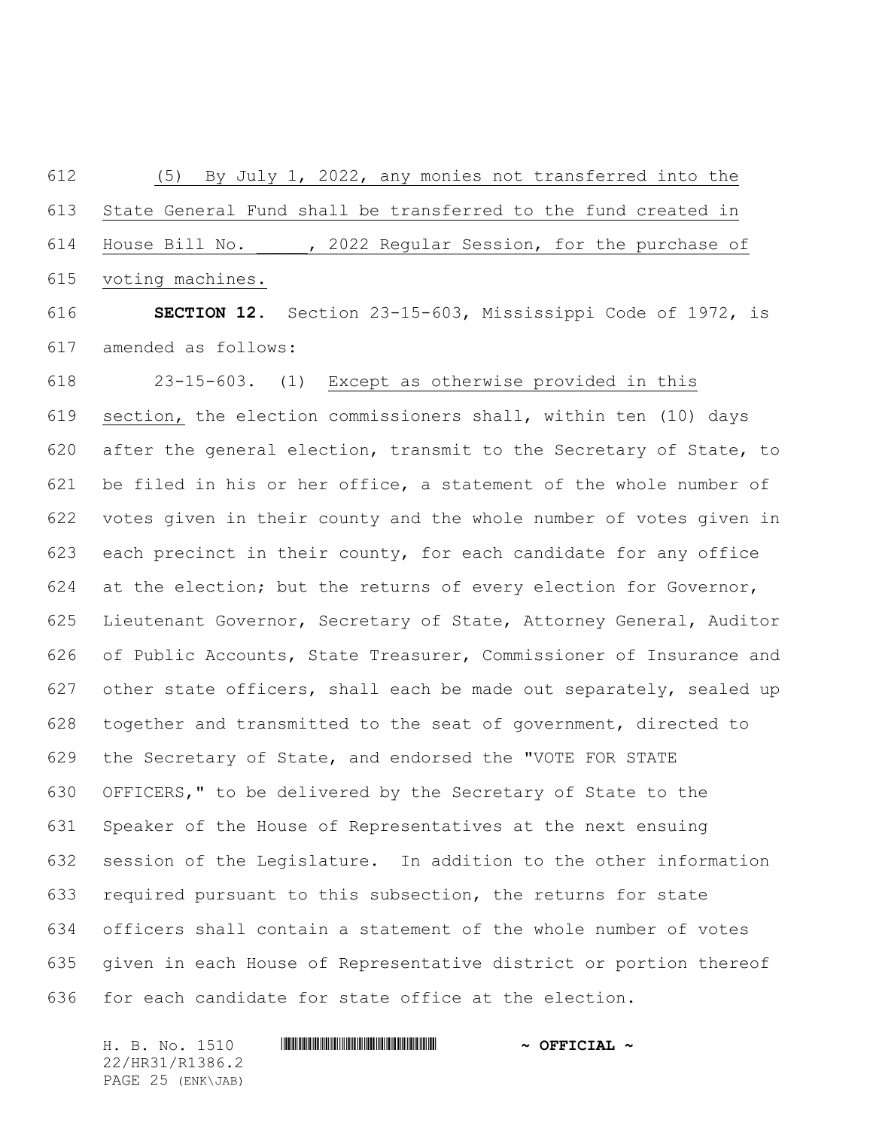(5) By July 1, 2022, any monies not transferred into the State General Fund shall be transferred to the fund created in 614 House Bill No. 42022 Regular Session, for the purchase of voting machines.

 **SECTION 12.** Section 23-15-603, Mississippi Code of 1972, is amended as follows:

 23-15-603. (1) Except as otherwise provided in this section, the election commissioners shall, within ten (10) days after the general election, transmit to the Secretary of State, to be filed in his or her office, a statement of the whole number of votes given in their county and the whole number of votes given in each precinct in their county, for each candidate for any office 624 at the election; but the returns of every election for Governor, Lieutenant Governor, Secretary of State, Attorney General, Auditor of Public Accounts, State Treasurer, Commissioner of Insurance and other state officers, shall each be made out separately, sealed up together and transmitted to the seat of government, directed to the Secretary of State, and endorsed the "VOTE FOR STATE OFFICERS," to be delivered by the Secretary of State to the Speaker of the House of Representatives at the next ensuing session of the Legislature. In addition to the other information required pursuant to this subsection, the returns for state officers shall contain a statement of the whole number of votes given in each House of Representative district or portion thereof for each candidate for state office at the election.

H. B. No. 1510 **. WALLET AND A SEPT ALL AND A SEPT CIAL ~** 22/HR31/R1386.2 PAGE 25 (ENK\JAB)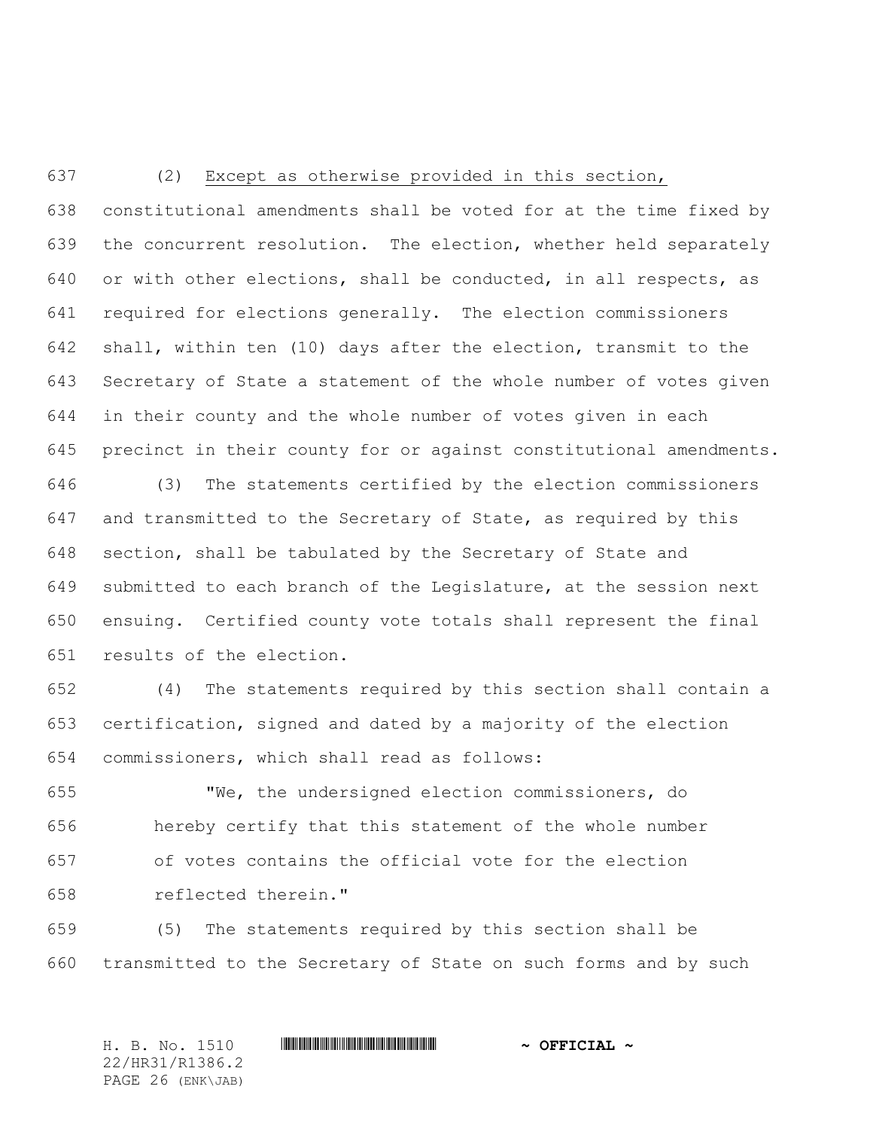## (2) Except as otherwise provided in this section,

 constitutional amendments shall be voted for at the time fixed by the concurrent resolution. The election, whether held separately or with other elections, shall be conducted, in all respects, as required for elections generally. The election commissioners shall, within ten (10) days after the election, transmit to the Secretary of State a statement of the whole number of votes given in their county and the whole number of votes given in each precinct in their county for or against constitutional amendments.

 (3) The statements certified by the election commissioners and transmitted to the Secretary of State, as required by this section, shall be tabulated by the Secretary of State and submitted to each branch of the Legislature, at the session next ensuing. Certified county vote totals shall represent the final results of the election.

 (4) The statements required by this section shall contain a certification, signed and dated by a majority of the election commissioners, which shall read as follows:

 "We, the undersigned election commissioners, do hereby certify that this statement of the whole number of votes contains the official vote for the election reflected therein."

 (5) The statements required by this section shall be transmitted to the Secretary of State on such forms and by such

H. B. No. 1510 \*HR31/R1386.2\* **~ OFFICIAL ~** 22/HR31/R1386.2 PAGE 26 (ENK\JAB)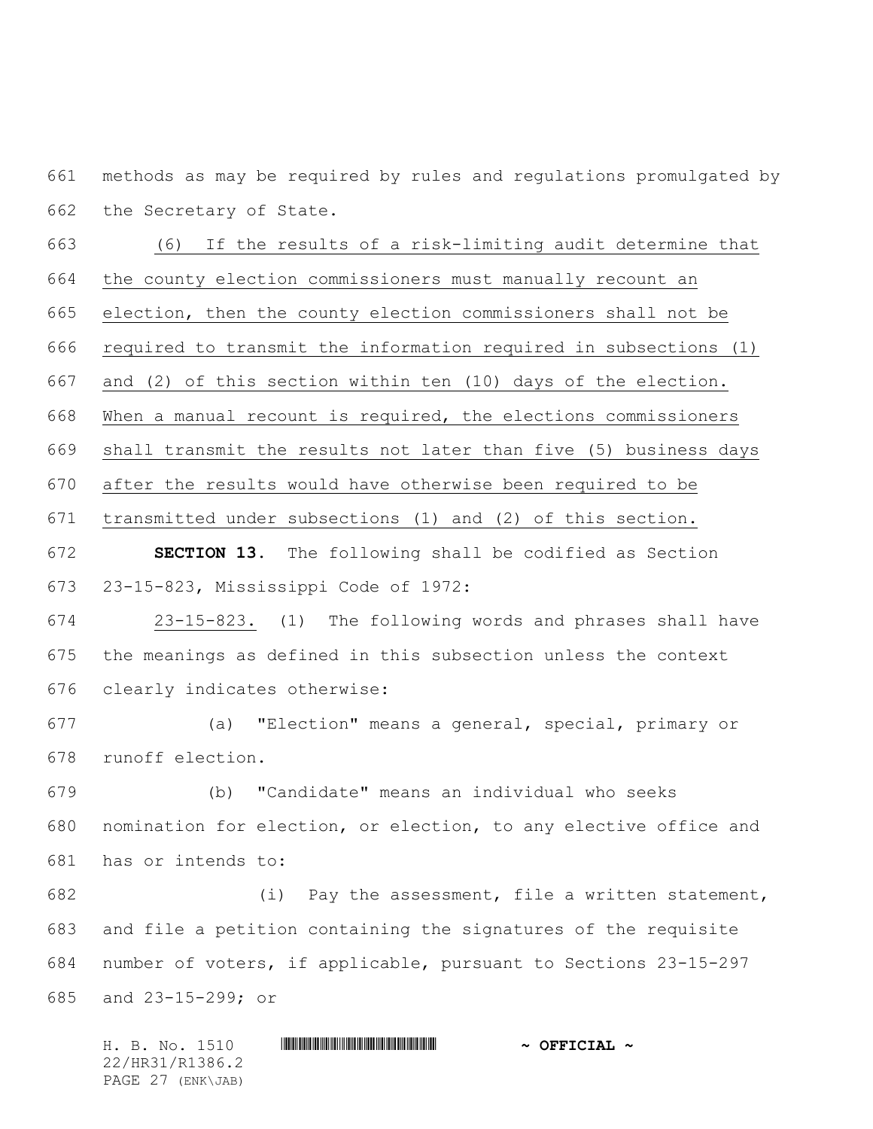methods as may be required by rules and regulations promulgated by the Secretary of State.

 (6) If the results of a risk-limiting audit determine that the county election commissioners must manually recount an election, then the county election commissioners shall not be required to transmit the information required in subsections (1) and (2) of this section within ten (10) days of the election. When a manual recount is required, the elections commissioners shall transmit the results not later than five (5) business days after the results would have otherwise been required to be transmitted under subsections (1) and (2) of this section. **SECTION 13.** The following shall be codified as Section 23-15-823, Mississippi Code of 1972:

 23-15-823. (1) The following words and phrases shall have the meanings as defined in this subsection unless the context clearly indicates otherwise:

 (a) "Election" means a general, special, primary or runoff election.

 (b) "Candidate" means an individual who seeks nomination for election, or election, to any elective office and has or intends to:

 (i) Pay the assessment, file a written statement, and file a petition containing the signatures of the requisite number of voters, if applicable, pursuant to Sections 23-15-297 and 23-15-299; or

H. B. No. 1510 **. AND A REAL PHOTOGROUP \*** OFFICIAL  $\sim$  OFFICIAL  $\sim$ 22/HR31/R1386.2 PAGE 27 (ENK\JAB)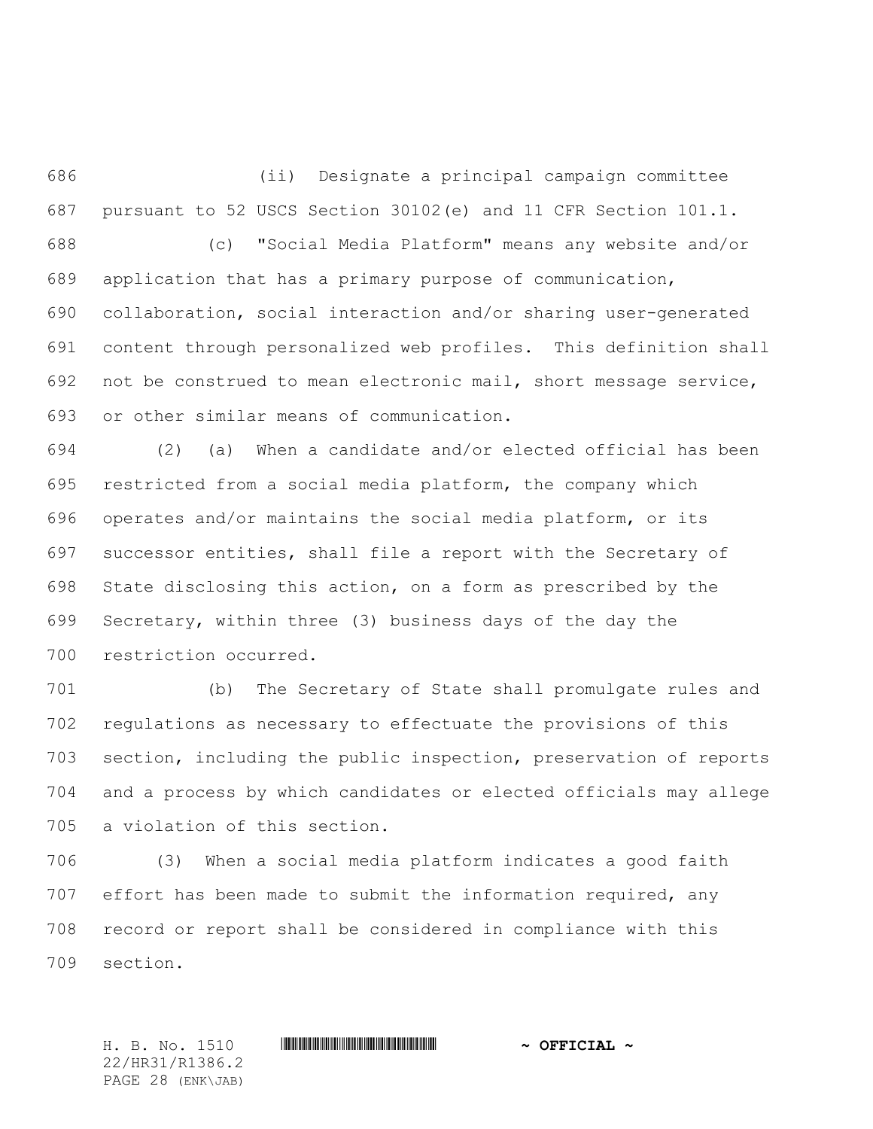(ii) Designate a principal campaign committee pursuant to 52 USCS Section 30102(e) and 11 CFR Section 101.1. (c) "Social Media Platform" means any website and/or application that has a primary purpose of communication, collaboration, social interaction and/or sharing user-generated content through personalized web profiles. This definition shall not be construed to mean electronic mail, short message service, or other similar means of communication.

 (2) (a) When a candidate and/or elected official has been restricted from a social media platform, the company which operates and/or maintains the social media platform, or its successor entities, shall file a report with the Secretary of State disclosing this action, on a form as prescribed by the Secretary, within three (3) business days of the day the restriction occurred.

 (b) The Secretary of State shall promulgate rules and regulations as necessary to effectuate the provisions of this section, including the public inspection, preservation of reports and a process by which candidates or elected officials may allege a violation of this section.

 (3) When a social media platform indicates a good faith effort has been made to submit the information required, any record or report shall be considered in compliance with this section.

H. B. No. 1510 \*HR31/R1386.2\* **~ OFFICIAL ~** 22/HR31/R1386.2 PAGE 28 (ENK\JAB)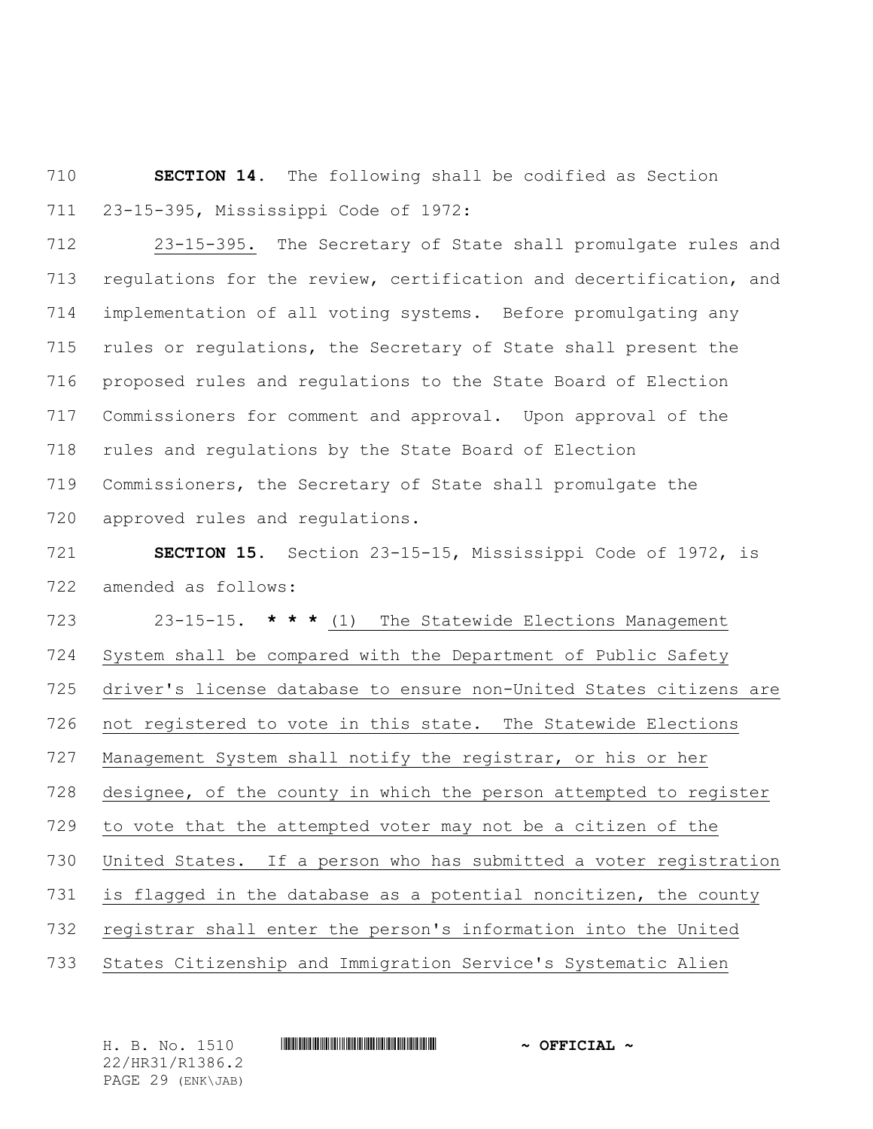**SECTION 14.** The following shall be codified as Section 23-15-395, Mississippi Code of 1972:

 23-15-395. The Secretary of State shall promulgate rules and regulations for the review, certification and decertification, and implementation of all voting systems. Before promulgating any rules or regulations, the Secretary of State shall present the proposed rules and regulations to the State Board of Election Commissioners for comment and approval. Upon approval of the rules and regulations by the State Board of Election Commissioners, the Secretary of State shall promulgate the approved rules and regulations.

 **SECTION 15.** Section 23-15-15, Mississippi Code of 1972, is amended as follows:

 23-15-15. **\* \* \*** (1) The Statewide Elections Management System shall be compared with the Department of Public Safety driver's license database to ensure non-United States citizens are not registered to vote in this state. The Statewide Elections Management System shall notify the registrar, or his or her designee, of the county in which the person attempted to register to vote that the attempted voter may not be a citizen of the United States. If a person who has submitted a voter registration is flagged in the database as a potential noncitizen, the county registrar shall enter the person's information into the United States Citizenship and Immigration Service's Systematic Alien

H. B. No. 1510 \*HR31/R1386.2\* **~ OFFICIAL ~** 22/HR31/R1386.2 PAGE 29 (ENK\JAB)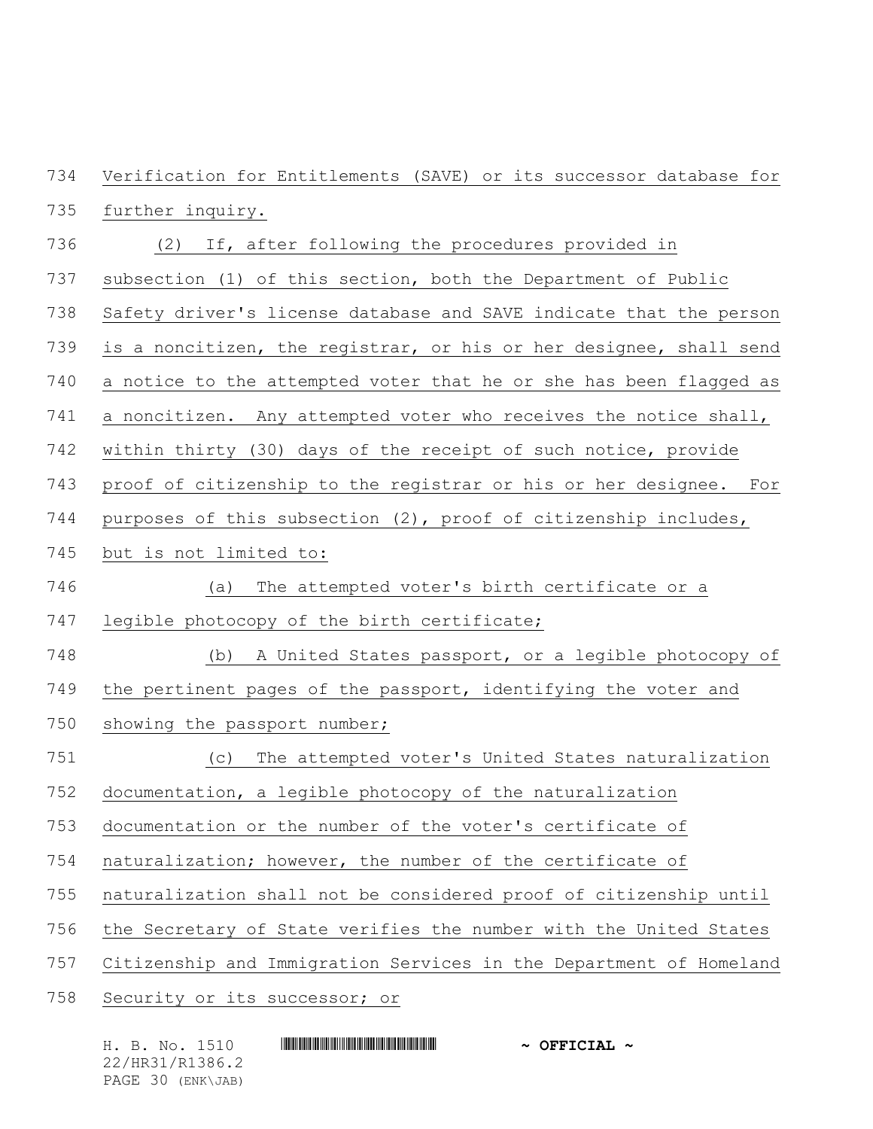Verification for Entitlements (SAVE) or its successor database for further inquiry.

- (2) If, after following the procedures provided in
- subsection (1) of this section, both the Department of Public
- Safety driver's license database and SAVE indicate that the person
- is a noncitizen, the registrar, or his or her designee, shall send
- a notice to the attempted voter that he or she has been flagged as
- a noncitizen. Any attempted voter who receives the notice shall,
- within thirty (30) days of the receipt of such notice, provide
- proof of citizenship to the registrar or his or her designee. For
- purposes of this subsection (2), proof of citizenship includes,
- but is not limited to:
- (a) The attempted voter's birth certificate or a
- legible photocopy of the birth certificate;
- (b) A United States passport, or a legible photocopy of the pertinent pages of the passport, identifying the voter and
- 750 showing the passport number;
- (c) The attempted voter's United States naturalization
- documentation, a legible photocopy of the naturalization
- documentation or the number of the voter's certificate of
- naturalization; however, the number of the certificate of
- naturalization shall not be considered proof of citizenship until
- the Secretary of State verifies the number with the United States
- Citizenship and Immigration Services in the Department of Homeland
- Security or its successor; or

| H. B. No. 1510    | $\sim$ OFFICIAL $\sim$ |
|-------------------|------------------------|
| 22/HR31/R1386.2   |                        |
| PAGE 30 (ENK\JAB) |                        |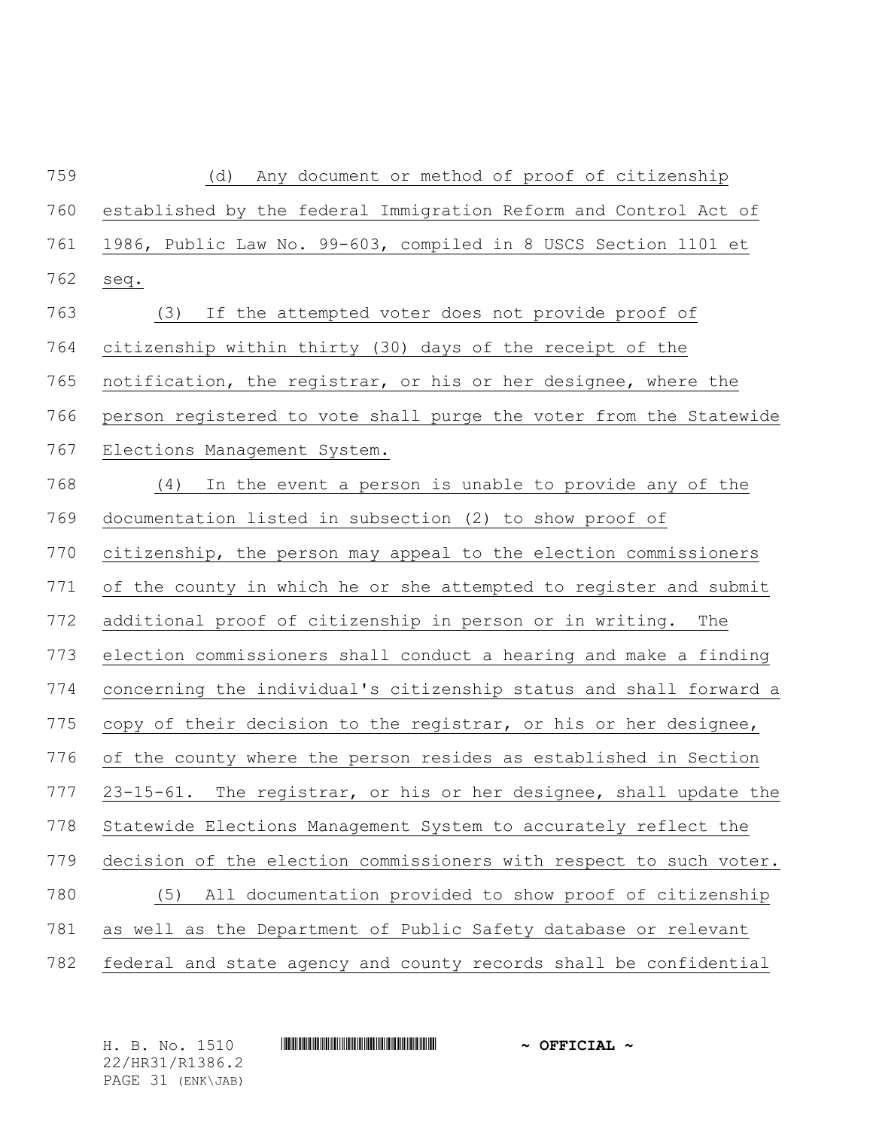| 759 | (d)<br>Any document or method of proof of citizenship              |
|-----|--------------------------------------------------------------------|
| 760 | established by the federal Immigration Reform and Control Act of   |
| 761 | 1986, Public Law No. 99-603, compiled in 8 USCS Section 1101 et    |
| 762 | seq.                                                               |
| 763 | (3) If the attempted voter does not provide proof of               |
| 764 | citizenship within thirty (30) days of the receipt of the          |
| 765 | notification, the registrar, or his or her designee, where the     |
| 766 | person registered to vote shall purge the voter from the Statewide |
| 767 | Elections Management System.                                       |
| 768 | (4)<br>In the event a person is unable to provide any of the       |
| 769 | documentation listed in subsection (2) to show proof of            |
| 770 | citizenship, the person may appeal to the election commissioners   |
| 771 | of the county in which he or she attempted to register and submit  |
| 772 | additional proof of citizenship in person or in writing.<br>The    |
| 773 | election commissioners shall conduct a hearing and make a finding  |
| 774 | concerning the individual's citizenship status and shall forward a |
| 775 | copy of their decision to the registrar, or his or her designee,   |
| 776 | of the county where the person resides as established in Section   |
| 777 | 23-15-61. The registrar, or his or her designee, shall update the  |
| 778 | Statewide Elections Management System to accurately reflect the    |
| 779 | decision of the election commissioners with respect to such voter. |
| 780 | All documentation provided to show proof of citizenship<br>(5)     |
| 781 | as well as the Department of Public Safety database or relevant    |
| 782 | federal and state agency and county records shall be confidential  |

H. B. No. 1510 **HR31086.2. And All 2010 ~ OFFICIAL ~** 22/HR31/R1386.2 PAGE 31 (ENK\JAB)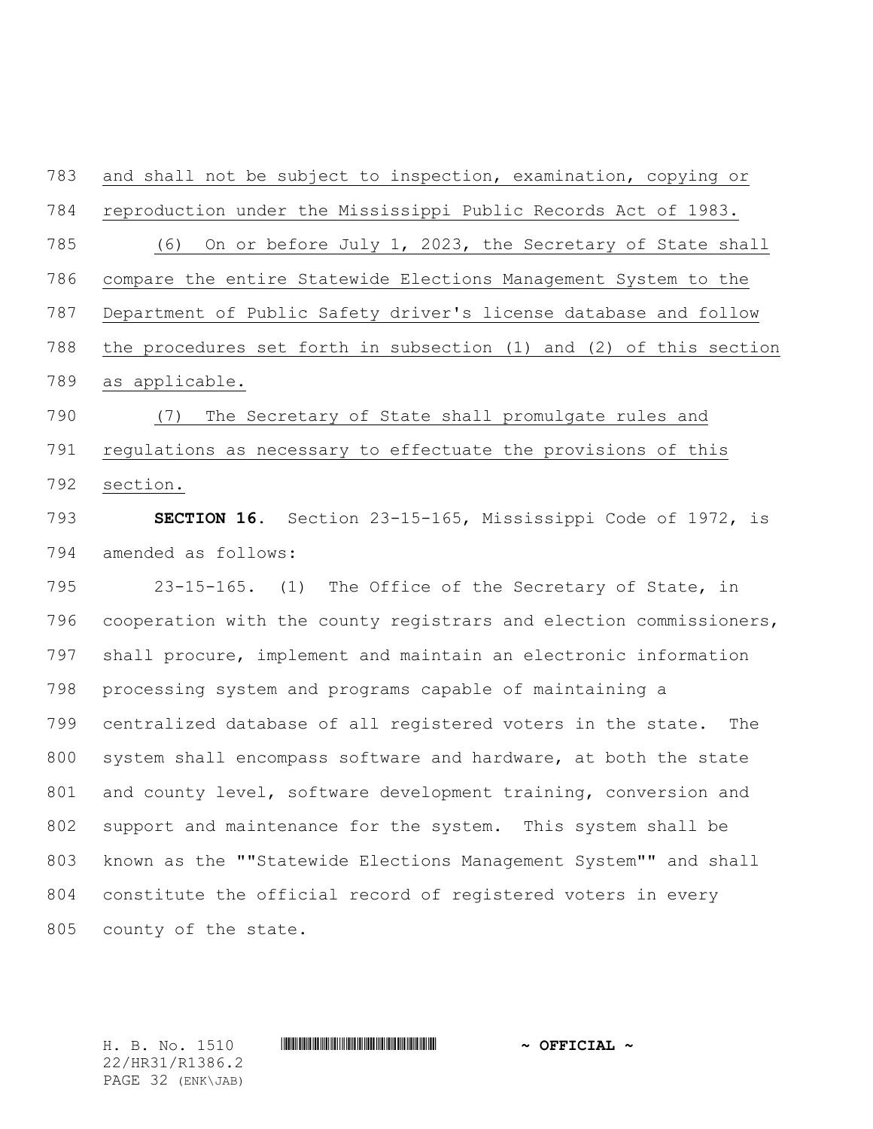and shall not be subject to inspection, examination, copying or reproduction under the Mississippi Public Records Act of 1983. (6) On or before July 1, 2023, the Secretary of State shall compare the entire Statewide Elections Management System to the Department of Public Safety driver's license database and follow the procedures set forth in subsection (1) and (2) of this section as applicable. (7) The Secretary of State shall promulgate rules and regulations as necessary to effectuate the provisions of this section. **SECTION 16.** Section 23-15-165, Mississippi Code of 1972, is amended as follows: 23-15-165. (1) The Office of the Secretary of State, in cooperation with the county registrars and election commissioners, shall procure, implement and maintain an electronic information processing system and programs capable of maintaining a centralized database of all registered voters in the state. The system shall encompass software and hardware, at both the state 801 and county level, software development training, conversion and

 support and maintenance for the system. This system shall be known as the ""Statewide Elections Management System"" and shall constitute the official record of registered voters in every county of the state.

22/HR31/R1386.2 PAGE 32 (ENK\JAB)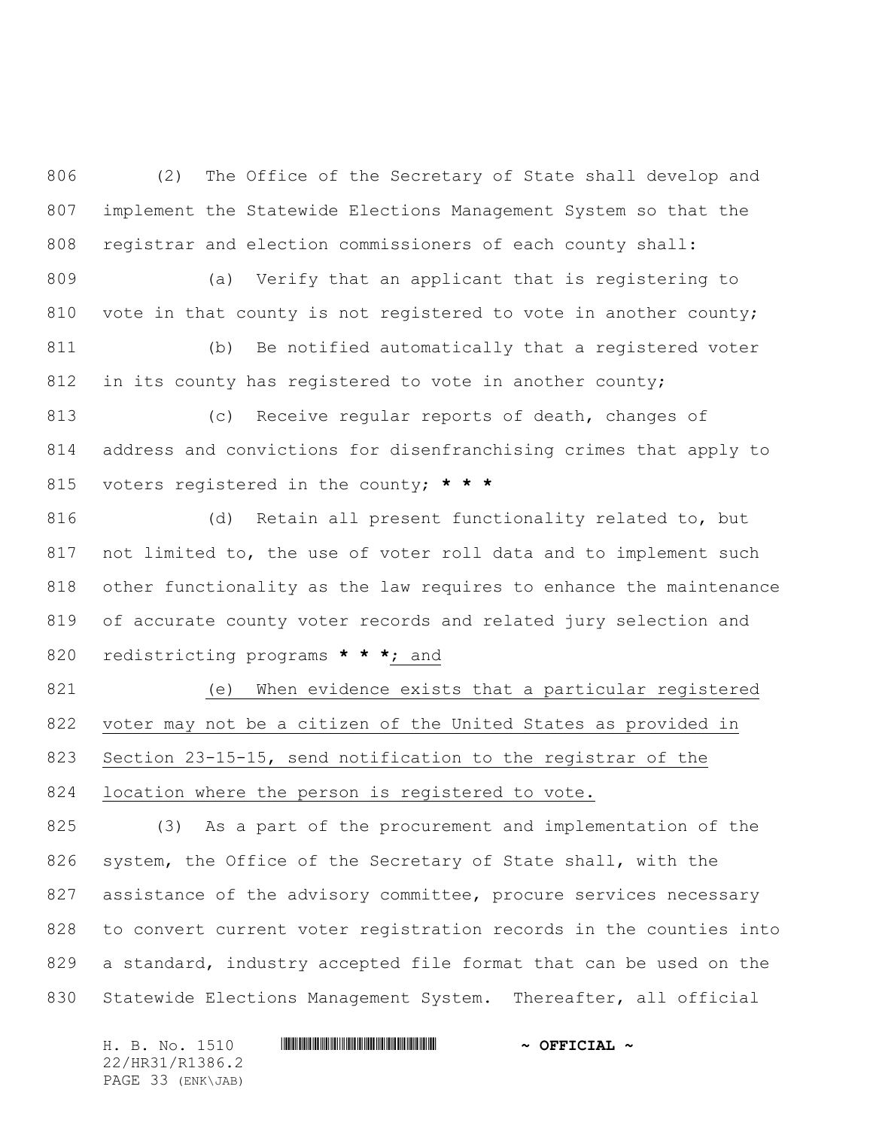(2) The Office of the Secretary of State shall develop and implement the Statewide Elections Management System so that the registrar and election commissioners of each county shall:

 (a) Verify that an applicant that is registering to 810 vote in that county is not registered to vote in another county; (b) Be notified automatically that a registered voter 812 in its county has registered to vote in another county;

 (c) Receive regular reports of death, changes of address and convictions for disenfranchising crimes that apply to voters registered in the county; **\* \* \***

 (d) Retain all present functionality related to, but not limited to, the use of voter roll data and to implement such other functionality as the law requires to enhance the maintenance of accurate county voter records and related jury selection and redistricting programs **\* \* \***; and

 (e) When evidence exists that a particular registered voter may not be a citizen of the United States as provided in Section 23-15-15, send notification to the registrar of the 824 location where the person is registered to vote.

 (3) As a part of the procurement and implementation of the system, the Office of the Secretary of State shall, with the assistance of the advisory committee, procure services necessary to convert current voter registration records in the counties into a standard, industry accepted file format that can be used on the Statewide Elections Management System. Thereafter, all official

H. B. No. 1510 **. WALLET AND A SEPT ALL AND A SEPT CIAL ~** 22/HR31/R1386.2 PAGE 33 (ENK\JAB)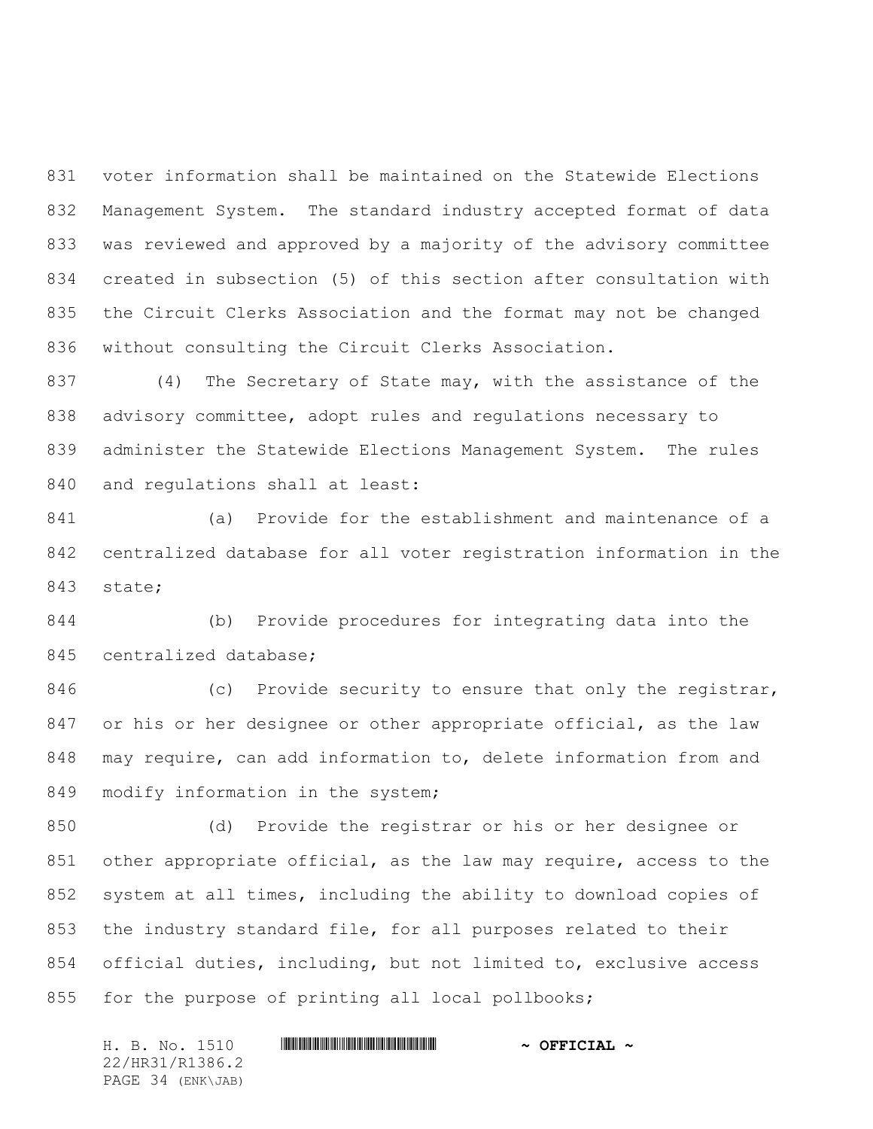voter information shall be maintained on the Statewide Elections Management System. The standard industry accepted format of data was reviewed and approved by a majority of the advisory committee created in subsection (5) of this section after consultation with the Circuit Clerks Association and the format may not be changed without consulting the Circuit Clerks Association.

 (4) The Secretary of State may, with the assistance of the advisory committee, adopt rules and regulations necessary to administer the Statewide Elections Management System. The rules and regulations shall at least:

 (a) Provide for the establishment and maintenance of a centralized database for all voter registration information in the state;

 (b) Provide procedures for integrating data into the centralized database;

846 (c) Provide security to ensure that only the registrar, 847 or his or her designee or other appropriate official, as the law may require, can add information to, delete information from and 849 modify information in the system;

 (d) Provide the registrar or his or her designee or other appropriate official, as the law may require, access to the system at all times, including the ability to download copies of the industry standard file, for all purposes related to their official duties, including, but not limited to, exclusive access for the purpose of printing all local pollbooks;

H. B. No. 1510 **. WALLET AND A SEPT ALL AND A SEPT CIAL ~** 22/HR31/R1386.2 PAGE 34 (ENK\JAB)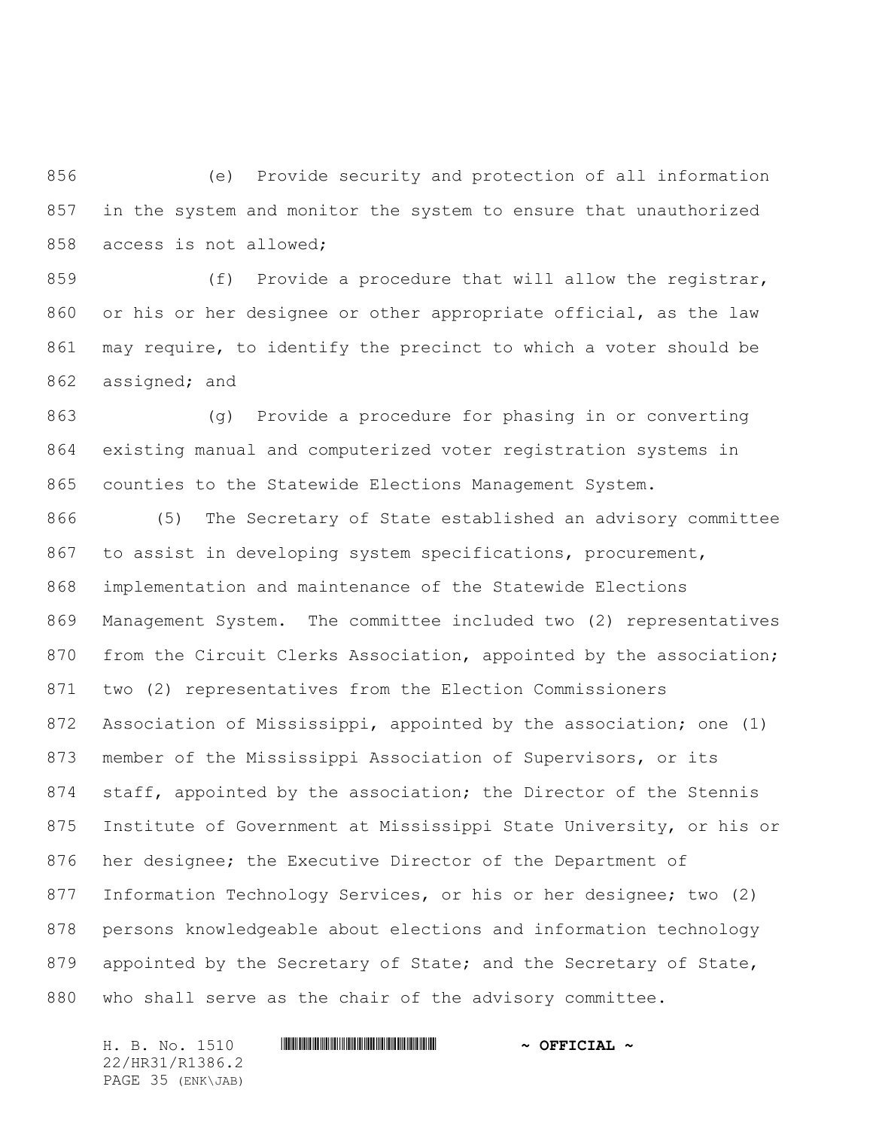(e) Provide security and protection of all information in the system and monitor the system to ensure that unauthorized access is not allowed;

859 (f) Provide a procedure that will allow the registrar, or his or her designee or other appropriate official, as the law may require, to identify the precinct to which a voter should be assigned; and

 (g) Provide a procedure for phasing in or converting existing manual and computerized voter registration systems in counties to the Statewide Elections Management System.

 (5) The Secretary of State established an advisory committee to assist in developing system specifications, procurement, implementation and maintenance of the Statewide Elections Management System. The committee included two (2) representatives from the Circuit Clerks Association, appointed by the association; two (2) representatives from the Election Commissioners Association of Mississippi, appointed by the association; one (1) member of the Mississippi Association of Supervisors, or its 874 staff, appointed by the association; the Director of the Stennis Institute of Government at Mississippi State University, or his or her designee; the Executive Director of the Department of Information Technology Services, or his or her designee; two (2) persons knowledgeable about elections and information technology 879 appointed by the Secretary of State; and the Secretary of State, who shall serve as the chair of the advisory committee.

22/HR31/R1386.2 PAGE 35 (ENK\JAB)

## H. B. No. 1510 **. WALLET AND A SEPT ALL AND A SEPT CIAL ~**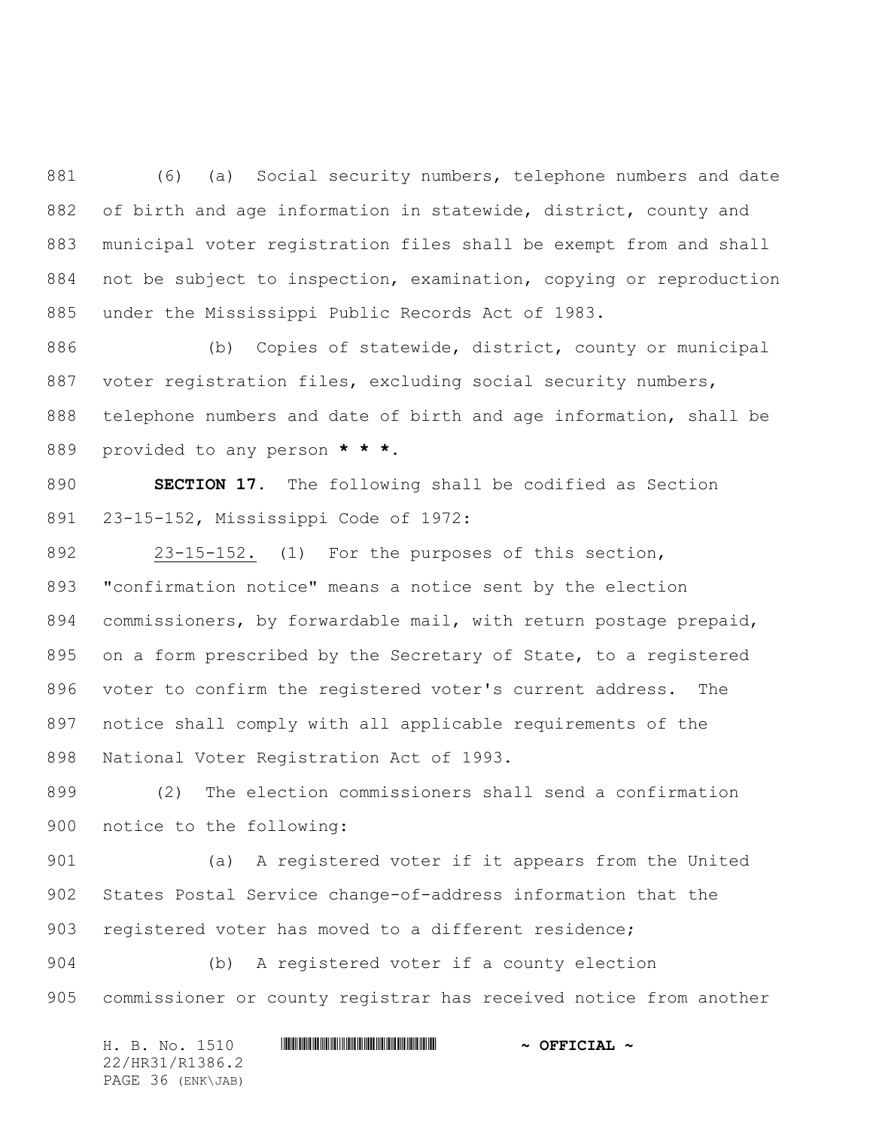(6) (a) Social security numbers, telephone numbers and date of birth and age information in statewide, district, county and municipal voter registration files shall be exempt from and shall not be subject to inspection, examination, copying or reproduction under the Mississippi Public Records Act of 1983.

 (b) Copies of statewide, district, county or municipal voter registration files, excluding social security numbers, telephone numbers and date of birth and age information, shall be provided to any person **\* \* \***.

 **SECTION 17.** The following shall be codified as Section 23-15-152, Mississippi Code of 1972:

 23-15-152. (1) For the purposes of this section, "confirmation notice" means a notice sent by the election commissioners, by forwardable mail, with return postage prepaid, on a form prescribed by the Secretary of State, to a registered voter to confirm the registered voter's current address. The notice shall comply with all applicable requirements of the National Voter Registration Act of 1993.

 (2) The election commissioners shall send a confirmation notice to the following:

 (a) A registered voter if it appears from the United States Postal Service change-of-address information that the registered voter has moved to a different residence;

 (b) A registered voter if a county election commissioner or county registrar has received notice from another

H. B. No. 1510 **. WALLET AND A SEPT ALL AND A SEPT CIAL ~** 22/HR31/R1386.2 PAGE 36 (ENK\JAB)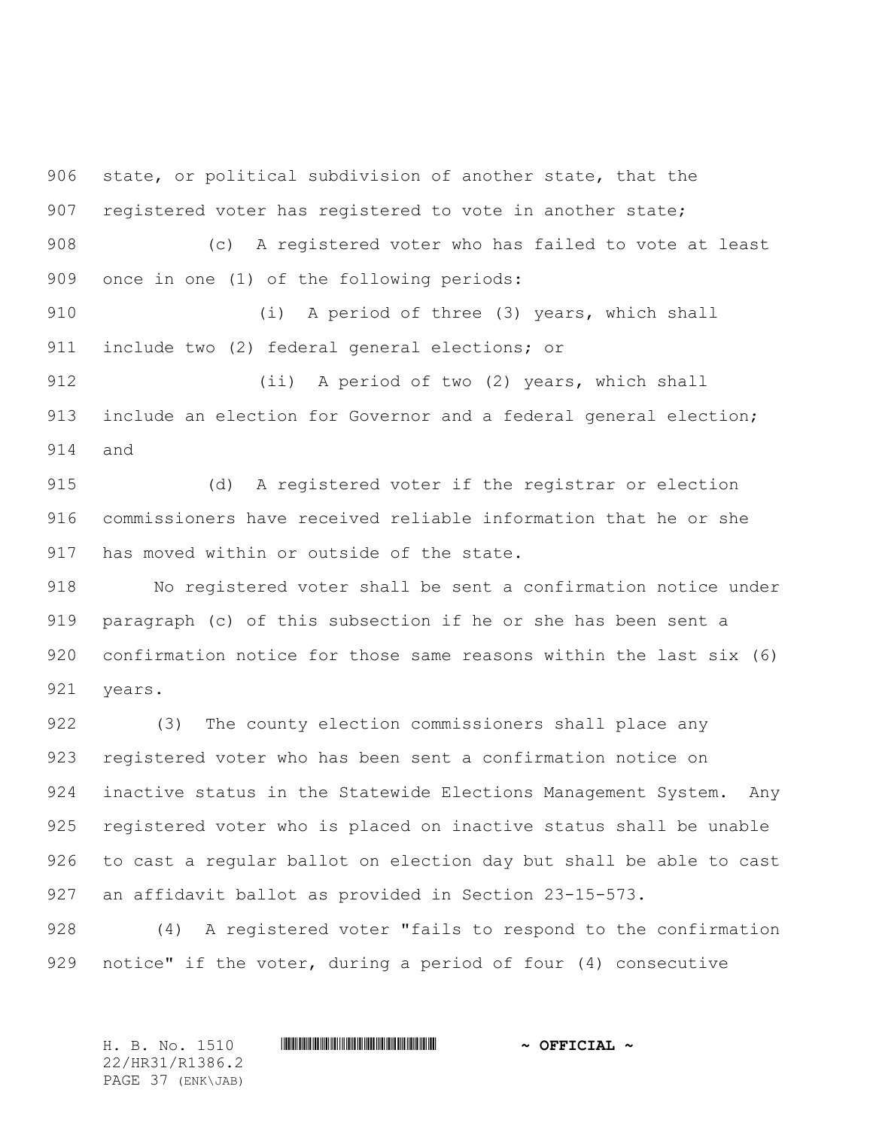state, or political subdivision of another state, that the 907 registered voter has registered to vote in another state;

 (c) A registered voter who has failed to vote at least once in one (1) of the following periods:

 (i) A period of three (3) years, which shall include two (2) federal general elections; or

 (ii) A period of two (2) years, which shall 913 include an election for Governor and a federal general election; and

 (d) A registered voter if the registrar or election commissioners have received reliable information that he or she has moved within or outside of the state.

 No registered voter shall be sent a confirmation notice under paragraph (c) of this subsection if he or she has been sent a confirmation notice for those same reasons within the last six (6) years.

 (3) The county election commissioners shall place any registered voter who has been sent a confirmation notice on inactive status in the Statewide Elections Management System. Any registered voter who is placed on inactive status shall be unable to cast a regular ballot on election day but shall be able to cast an affidavit ballot as provided in Section 23-15-573.

 (4) A registered voter "fails to respond to the confirmation notice" if the voter, during a period of four (4) consecutive

H. B. No. 1510 \*HR31/R1386.2\* **~ OFFICIAL ~** 22/HR31/R1386.2 PAGE 37 (ENK\JAB)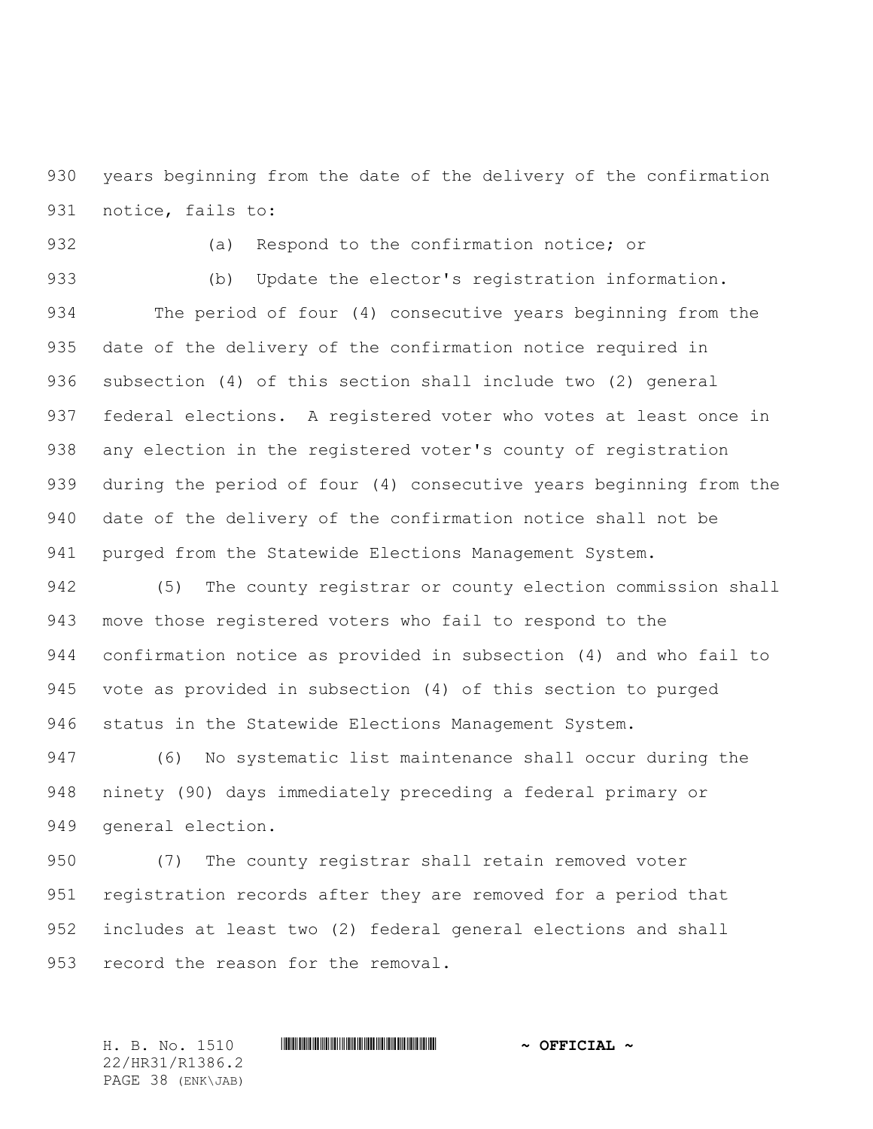years beginning from the date of the delivery of the confirmation notice, fails to:

(a) Respond to the confirmation notice; or

 (b) Update the elector's registration information. The period of four (4) consecutive years beginning from the date of the delivery of the confirmation notice required in subsection (4) of this section shall include two (2) general federal elections. A registered voter who votes at least once in any election in the registered voter's county of registration during the period of four (4) consecutive years beginning from the date of the delivery of the confirmation notice shall not be purged from the Statewide Elections Management System.

 (5) The county registrar or county election commission shall move those registered voters who fail to respond to the confirmation notice as provided in subsection (4) and who fail to vote as provided in subsection (4) of this section to purged status in the Statewide Elections Management System.

947 (6) No systematic list maintenance shall occur during the ninety (90) days immediately preceding a federal primary or general election.

950 (7) The county registrar shall retain removed voter registration records after they are removed for a period that includes at least two (2) federal general elections and shall 953 record the reason for the removal.

H. B. No. 1510 \*HR31/R1386.2\* **~ OFFICIAL ~** 22/HR31/R1386.2 PAGE 38 (ENK\JAB)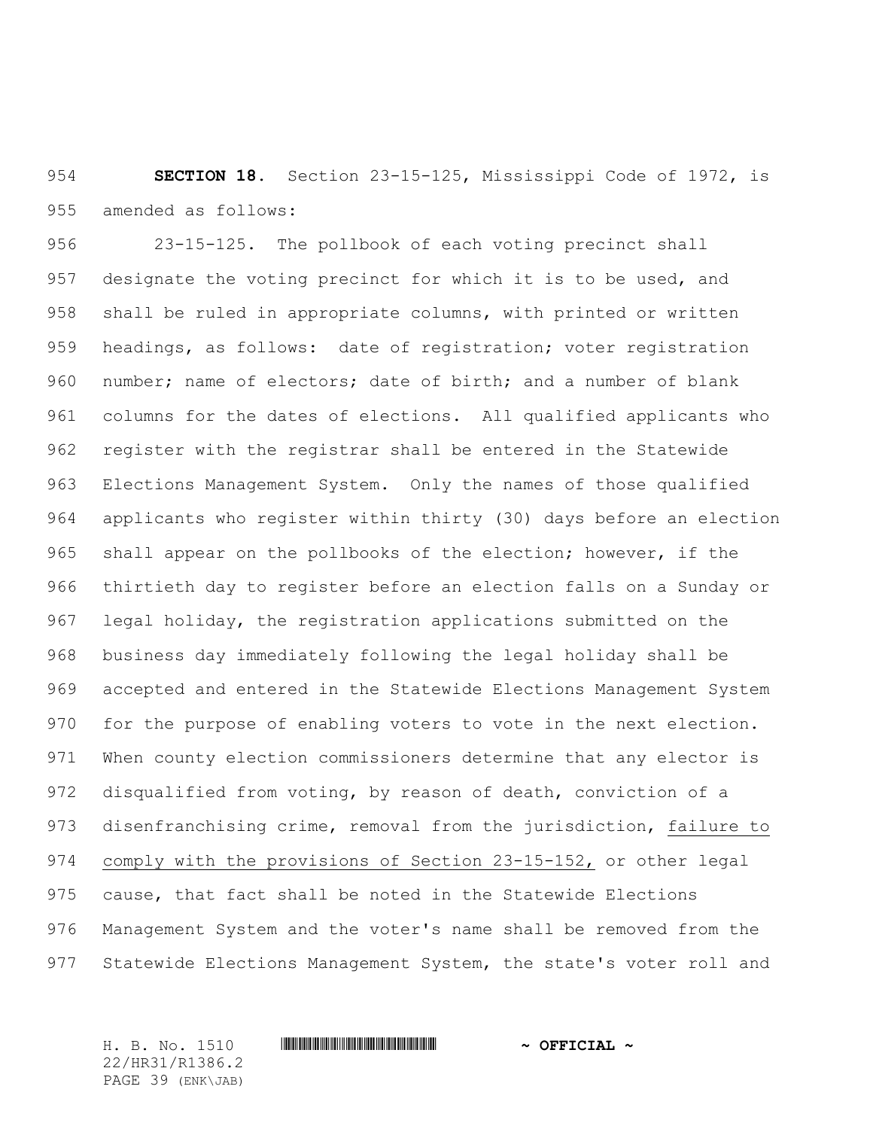**SECTION 18.** Section 23-15-125, Mississippi Code of 1972, is amended as follows:

 23-15-125. The pollbook of each voting precinct shall designate the voting precinct for which it is to be used, and shall be ruled in appropriate columns, with printed or written headings, as follows: date of registration; voter registration number; name of electors; date of birth; and a number of blank columns for the dates of elections. All qualified applicants who register with the registrar shall be entered in the Statewide Elections Management System. Only the names of those qualified applicants who register within thirty (30) days before an election shall appear on the pollbooks of the election; however, if the thirtieth day to register before an election falls on a Sunday or legal holiday, the registration applications submitted on the business day immediately following the legal holiday shall be accepted and entered in the Statewide Elections Management System 970 for the purpose of enabling voters to vote in the next election. When county election commissioners determine that any elector is disqualified from voting, by reason of death, conviction of a disenfranchising crime, removal from the jurisdiction, failure to comply with the provisions of Section 23-15-152, or other legal cause, that fact shall be noted in the Statewide Elections Management System and the voter's name shall be removed from the 977 Statewide Elections Management System, the state's voter roll and

22/HR31/R1386.2 PAGE 39 (ENK\JAB)

H. B. No. 1510 \*HR31/R1386.2\* **~ OFFICIAL ~**